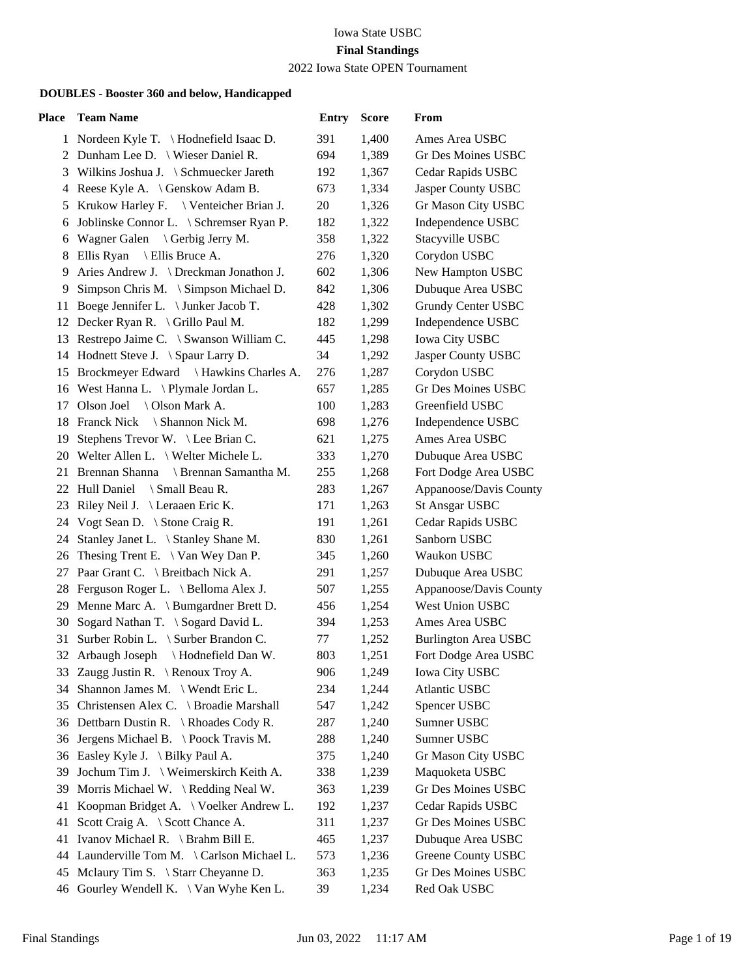### Iowa State USBC **Final Standings** 2022 Iowa State OPEN Tournament

| Place | <b>Team Name</b>                                                                        | <b>Entry</b> | <b>Score</b> | From                                            |
|-------|-----------------------------------------------------------------------------------------|--------------|--------------|-------------------------------------------------|
|       | 1 Nordeen Kyle T. \Hodnefield Isaac D.                                                  | 391          | 1,400        | Ames Area USBC                                  |
| 2     | Dunham Lee D. \ Wieser Daniel R.                                                        | 694          | 1,389        | Gr Des Moines USBC                              |
| 3     | Wilkins Joshua J. \ Schmuecker Jareth                                                   | 192          | 1,367        | Cedar Rapids USBC                               |
|       | 4 Reese Kyle A. \ Genskow Adam B.                                                       | 673          | 1,334        | Jasper County USBC                              |
| 5     | Krukow Harley F. \ Venteicher Brian J.                                                  | 20           | 1,326        | Gr Mason City USBC                              |
| 6     | Joblinske Connor L. \ Schremser Ryan P.                                                 | 182          | 1,322        | Independence USBC                               |
| 6     | Wagner Galen<br>\ Gerbig Jerry M.                                                       | 358          | 1,322        | Stacyville USBC                                 |
| 8     | Ellis Ryan \ Ellis Bruce A.                                                             | 276          | 1,320        | Corydon USBC                                    |
| 9     | Aries Andrew J. \ Dreckman Jonathon J.                                                  | 602          | 1,306        | New Hampton USBC                                |
| 9     | Simpson Chris M. \ Simpson Michael D.                                                   | 842          | 1,306        | Dubuque Area USBC                               |
| 11    | Boege Jennifer L. \ Junker Jacob T.                                                     | 428          | 1,302        | <b>Grundy Center USBC</b>                       |
|       | 12 Decker Ryan R. \ Grillo Paul M.                                                      | 182          | 1,299        | Independence USBC                               |
|       | 13 Restrepo Jaime C. \ Swanson William C.                                               | 445          | 1,298        | <b>Iowa City USBC</b>                           |
|       | 14 Hodnett Steve J. \ Spaur Larry D.                                                    | 34           | 1,292        | Jasper County USBC                              |
|       | 15 Brockmeyer Edward \ Hawkins Charles A.                                               | 276          | 1,287        | Corydon USBC                                    |
|       | 16 West Hanna L. \Plymale Jordan L.                                                     | 657          | 1,285        | <b>Gr Des Moines USBC</b>                       |
|       | 17 Olson Joel \ Olson Mark A.                                                           | 100          | 1,283        | Greenfield USBC                                 |
|       | 18 Franck Nick \ Shannon Nick M.                                                        | 698          | 1,276        | Independence USBC                               |
| 19    | Stephens Trevor W. \ Lee Brian C.                                                       | 621          | 1,275        | Ames Area USBC                                  |
|       | 20 Welter Allen L. \ Welter Michele L.                                                  | 333          | 1,270        | Dubuque Area USBC                               |
|       | 21 Brennan Shanna \ Brennan Samantha M.                                                 | 255          | 1,268        | Fort Dodge Area USBC                            |
|       | 22 Hull Daniel<br>\ Small Beau R.                                                       | 283          | 1,267        | Appanoose/Davis County                          |
|       | 23 Riley Neil J. \ Leraaen Eric K.                                                      | 171          | 1,263        | <b>St Ansgar USBC</b>                           |
|       | 24 Vogt Sean D. \ Stone Craig R.                                                        | 191          | 1,261        | Cedar Rapids USBC                               |
| 24    | Stanley Janet L. \ Stanley Shane M.                                                     | 830          | 1,261        | Sanborn USBC                                    |
| 26    | The sing Trent E. $\setminus$ Van Wey Dan P.                                            | 345          | 1,260        | Waukon USBC                                     |
| 27    | Paar Grant C. \ Breitbach Nick A.                                                       | 291          | 1,257        | Dubuque Area USBC                               |
|       | 28 Ferguson Roger L. \ Belloma Alex J.                                                  | 507          | 1,255        | Appanoose/Davis County                          |
|       | 29 Menne Marc A. \ Bumgardner Brett D.                                                  | 456          | 1,254        | West Union USBC                                 |
| 30    | Sogard Nathan T. \ Sogard David L.                                                      | 394          | 1,253        | Ames Area USBC                                  |
| 31    | Surber Robin L. \ Surber Brandon C.                                                     | 77           | 1,252        | <b>Burlington Area USBC</b>                     |
| 32    | \ Hodnefield Dan W.<br>Arbaugh Joseph                                                   | 803          | 1,251        | Fort Dodge Area USBC                            |
|       | 33 Zaugg Justin R. \ Renoux Troy A.                                                     | 906          | 1,249        | <b>Iowa City USBC</b>                           |
| 34    | Shannon James M. \ Wendt Eric L.                                                        | 234          | 1,244        | Atlantic USBC                                   |
| 35    | Christensen Alex C. \ Broadie Marshall                                                  | 547          | 1,242        | Spencer USBC                                    |
|       | 36 Dettbarn Dustin R. \ Rhoades Cody R.                                                 | 287          | 1,240        | Sumner USBC                                     |
| 36    | Jergens Michael B. \ Poock Travis M.                                                    | 288          | 1,240        | Sumner USBC                                     |
|       | 36 Easley Kyle J. \ Bilky Paul A.                                                       | 375          | 1,240        | Gr Mason City USBC                              |
| 39    | Jochum Tim J. \ Weimerskirch Keith A.                                                   | 338          | 1,239        | Maquoketa USBC<br><b>Gr Des Moines USBC</b>     |
| 39.   | Morris Michael W. \ Redding Neal W.                                                     | 363          | 1,239        |                                                 |
| 41    | Koopman Bridget A. \ Voelker Andrew L.                                                  | 192          | 1,237        | Cedar Rapids USBC<br><b>Gr Des Moines USBC</b>  |
| 41    | Scott Craig A. \ Scott Chance A.                                                        | 311          | 1,237        |                                                 |
| 41    | Ivanov Michael R. \ Brahm Bill E.<br>44 Launderville Tom M. \Carlson Michael L.         | 465          | 1,237        | Dubuque Area USBC                               |
| 45    |                                                                                         | 573          | 1,236        | <b>Greene County USBC</b><br>Gr Des Moines USBC |
|       | Melaury Tim S. $\setminus$ Starr Cheyanne D.<br>46 Gourley Wendell K. \ Van Wyhe Ken L. | 363<br>39    | 1,235        | Red Oak USBC                                    |
|       |                                                                                         |              | 1,234        |                                                 |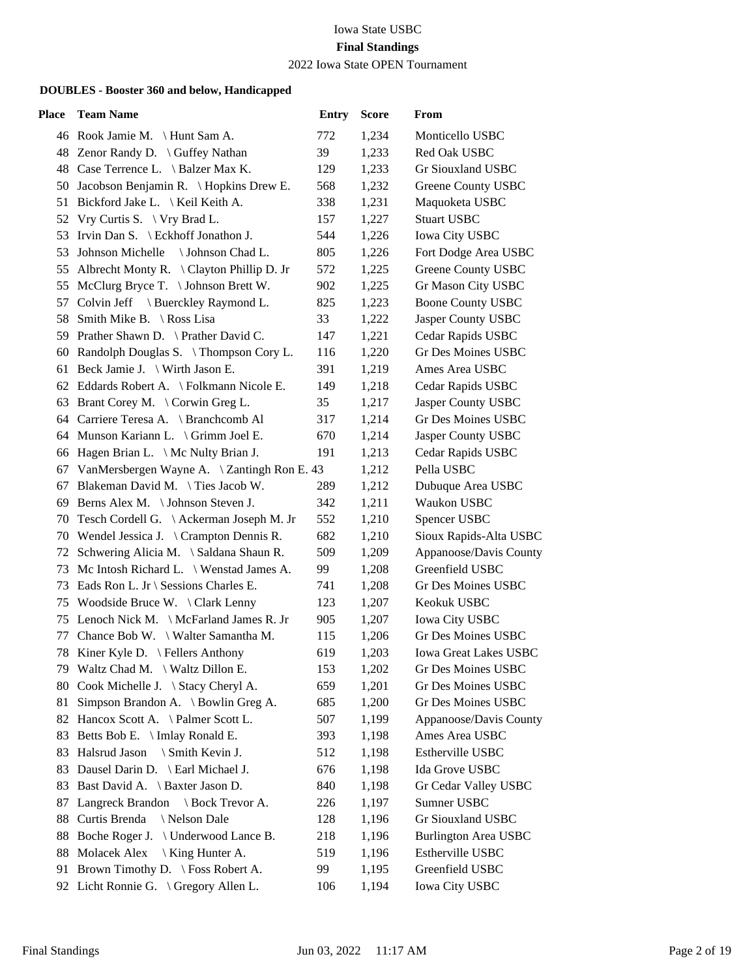### 2022 Iowa State OPEN Tournament

| <b>Place</b> | <b>Team Name</b>                               | <b>Entry</b> | <b>Score</b> | From                         |
|--------------|------------------------------------------------|--------------|--------------|------------------------------|
|              | 46 Rook Jamie M. \ Hunt Sam A.                 | 772          | 1,234        | Monticello USBC              |
|              | 48 Zenor Randy D. \ Guffey Nathan              | 39           | 1,233        | Red Oak USBC                 |
|              | 48 Case Terrence L. \ Balzer Max K.            | 129          | 1,233        | Gr Siouxland USBC            |
|              | 50 Jacobson Benjamin R. \Hopkins Drew E.       | 568          | 1,232        | <b>Greene County USBC</b>    |
|              | 51 Bickford Jake L. \ Keil Keith A.            | 338          | 1,231        | Maquoketa USBC               |
| 52           | Vry Curtis S. $\forall$ ry Brad L.             | 157          | 1,227        | <b>Stuart USBC</b>           |
| 53           | Irvin Dan S. $\mathcal E$ Eckhoff Jonathon J.  | 544          | 1,226        | <b>Iowa City USBC</b>        |
| 53           | Johnson Michelle \ Johnson Chad L.             | 805          | 1,226        | Fort Dodge Area USBC         |
|              | 55 Albrecht Monty R. \ Clayton Phillip D. Jr   | 572          | 1,225        | Greene County USBC           |
| 55           | McClurg Bryce T. $\setminus$ Johnson Brett W.  | 902          | 1,225        | Gr Mason City USBC           |
| 57           | Colvin Jeff \ Buerckley Raymond L.             | 825          | 1,223        | <b>Boone County USBC</b>     |
|              | 58 Smith Mike B. \ Ross Lisa                   | 33           | 1,222        | Jasper County USBC           |
|              | 59 Prather Shawn D. \ Prather David C.         | 147          | 1,221        | Cedar Rapids USBC            |
|              | 60 Randolph Douglas S. \Thompson Cory L.       | 116          | 1,220        | <b>Gr Des Moines USBC</b>    |
|              | 61 Beck Jamie J. $\forall$ Wirth Jason E.      | 391          | 1,219        | Ames Area USBC               |
|              | 62 Eddards Robert A. \ Folkmann Nicole E.      | 149          | 1,218        | Cedar Rapids USBC            |
|              | 63 Brant Corey M. \ Corwin Greg L.             | 35           | 1,217        | Jasper County USBC           |
|              | 64 Carriere Teresa A. \ Branchcomb Al          | 317          | 1,214        | <b>Gr Des Moines USBC</b>    |
|              | 64 Munson Kariann L. \ Grimm Joel E.           | 670          | 1,214        | Jasper County USBC           |
|              | 66 Hagen Brian L. \ Mc Nulty Brian J.          | 191          | 1,213        | Cedar Rapids USBC            |
|              | 67 VanMersbergen Wayne A. \ Zantingh Ron E. 43 |              | 1,212        | Pella USBC                   |
| 67           | Blakeman David M. \ Ties Jacob W.              | 289          | 1,212        | Dubuque Area USBC            |
|              | 69 Berns Alex M. \ Johnson Steven J.           | 342          | 1,211        | Waukon USBC                  |
|              | 70 Tesch Cordell G. \Ackerman Joseph M. Jr     | 552          | 1,210        | Spencer USBC                 |
|              | 70 Wendel Jessica J. \ Crampton Dennis R.      | 682          | 1,210        | Sioux Rapids-Alta USBC       |
|              | 72 Schwering Alicia M. \ Saldana Shaun R.      | 509          | 1,209        | Appanoose/Davis County       |
| 73           | Mc Intosh Richard L. \ Wenstad James A.        | 99           | 1,208        | Greenfield USBC              |
|              | 73 Eads Ron L. Jr \ Sessions Charles E.        | 741          | 1,208        | Gr Des Moines USBC           |
|              | 75 Woodside Bruce W. \Clark Lenny              | 123          | 1,207        | Keokuk USBC                  |
|              | 75 Lenoch Nick M. \ McFarland James R. Jr      | 905          | 1,207        | <b>Iowa City USBC</b>        |
| 77           | Chance Bob W. \ Walter Samantha M.             | 115          | 1,206        | Gr Des Moines USBC           |
| 78           | Kiner Kyle D. $\left\{$ Fellers Anthony        | 619          | 1,203        | <b>Iowa Great Lakes USBC</b> |
|              | 79 Waltz Chad M. \ Waltz Dillon E.             | 153          | 1,202        | Gr Des Moines USBC           |
|              | 80 Cook Michelle J. \ Stacy Cheryl A.          | 659          | 1,201        | <b>Gr Des Moines USBC</b>    |
| 81           | Simpson Brandon A. \ Bowlin Greg A.            | 685          | 1,200        | Gr Des Moines USBC           |
|              | 82 Hancox Scott A. \Palmer Scott L.            | 507          | 1,199        | Appanoose/Davis County       |
|              | 83 Betts Bob E. \ Imlay Ronald E.              | 393          | 1,198        | Ames Area USBC               |
| 83           | Halsrud Jason \ Smith Kevin J.                 | 512          | 1,198        | Estherville USBC             |
| 83           | Dausel Darin D. \ Earl Michael J.              | 676          | 1,198        | Ida Grove USBC               |
| 83           | Bast David A. \ Baxter Jason D.                | 840          | 1,198        | Gr Cedar Valley USBC         |
| 87           | Langreck Brandon \ Bock Trevor A.              | 226          | 1,197        | Sumner USBC                  |
| 88           | Curtis Brenda<br>\ Nelson Dale                 | 128          | 1,196        | Gr Siouxland USBC            |
| 88           | Boche Roger J.<br>\ Underwood Lance B.         | 218          | 1,196        | <b>Burlington Area USBC</b>  |
| 88           | Molacek Alex<br>  King Hunter A.               | 519          | 1,196        | Estherville USBC             |
|              | 91 Brown Timothy D. \ Foss Robert A.           | 99           | 1,195        | Greenfield USBC              |
|              | 92 Licht Ronnie G. \ Gregory Allen L.          | 106          | 1,194        | <b>Iowa City USBC</b>        |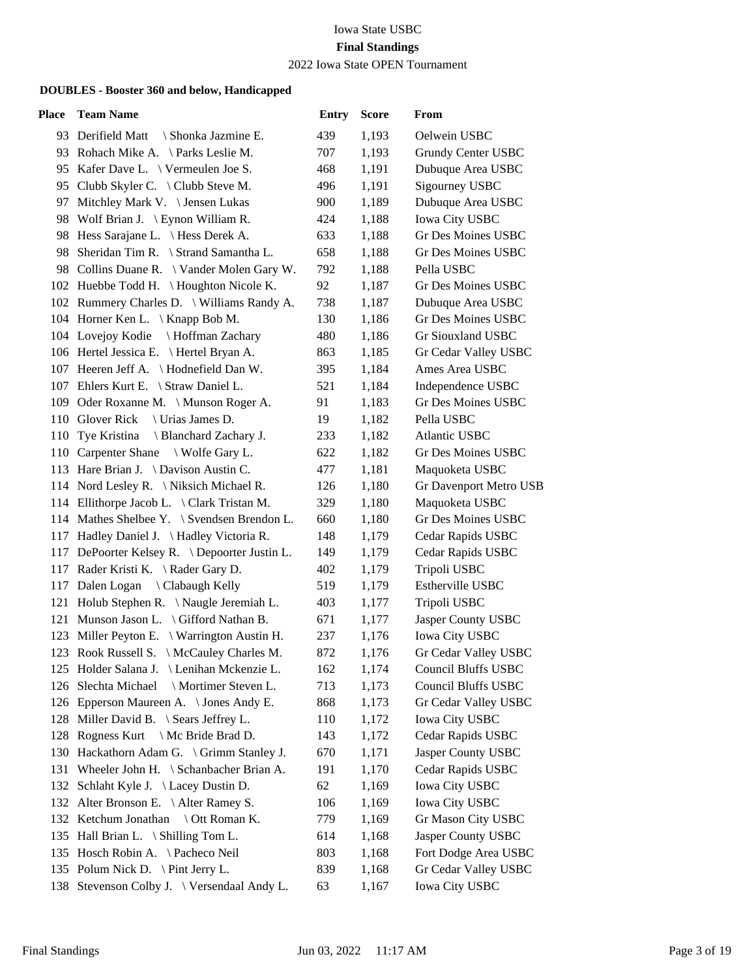2022 Iowa State OPEN Tournament

| <b>Place</b> | <b>Team Name</b>                              | <b>Entry</b> | <b>Score</b> | From                      |
|--------------|-----------------------------------------------|--------------|--------------|---------------------------|
|              | 93 Derifield Matt<br>\ Shonka Jazmine E.      | 439          | 1,193        | Oelwein USBC              |
|              | 93 Rohach Mike A. \Parks Leslie M.            | 707          | 1,193        | Grundy Center USBC        |
|              | 95 Kafer Dave L. \ Vermeulen Joe S.           | 468          | 1,191        | Dubuque Area USBC         |
|              | 95 Clubb Skyler C. \ Clubb Steve M.           | 496          | 1,191        | <b>Sigourney USBC</b>     |
|              | 97 Mitchley Mark V. \ Jensen Lukas            | 900          | 1,189        | Dubuque Area USBC         |
|              | 98 Wolf Brian J. \ Eynon William R.           | 424          | 1,188        | Iowa City USBC            |
|              | 98 Hess Sarajane L. \ Hess Derek A.           | 633          | 1,188        | Gr Des Moines USBC        |
|              | 98 Sheridan Tim R. \ Strand Samantha L.       | 658          | 1,188        | Gr Des Moines USBC        |
|              | 98 Collins Duane R. \ Vander Molen Gary W.    | 792          | 1,188        | Pella USBC                |
|              | 102 Huebbe Todd H. \ Houghton Nicole K.       | 92           | 1,187        | Gr Des Moines USBC        |
|              | 102 Rummery Charles D. \ Williams Randy A.    | 738          | 1,187        | Dubuque Area USBC         |
|              | 104 Horner Ken L. \ Knapp Bob M.              | 130          | 1,186        | <b>Gr Des Moines USBC</b> |
|              | 104 Lovejoy Kodie \ Hoffman Zachary           | 480          | 1,186        | Gr Siouxland USBC         |
|              | 106 Hertel Jessica E. \ Hertel Bryan A.       | 863          | 1,185        | Gr Cedar Valley USBC      |
|              | 107 Heeren Jeff A. \ Hodnefield Dan W.        | 395          | 1,184        | Ames Area USBC            |
|              | 107 Ehlers Kurt E. \ Straw Daniel L.          | 521          | 1,184        | Independence USBC         |
|              | 109 Oder Roxanne M. \ Munson Roger A.         | 91           | 1,183        | <b>Gr Des Moines USBC</b> |
|              | 110 Glover Rick<br>\ Urias James D.           | 19           | 1,182        | Pella USBC                |
|              | 110 Tye Kristina<br>Blanchard Zachary J.      | 233          | 1,182        | <b>Atlantic USBC</b>      |
|              | 110 Carpenter Shane \ Wolfe Gary L.           | 622          | 1,182        | Gr Des Moines USBC        |
|              | 113 Hare Brian J. \ Davison Austin C.         | 477          | 1,181        | Maquoketa USBC            |
|              | 114 Nord Lesley R. \ Niksich Michael R.       | 126          | 1,180        | Gr Davenport Metro USB    |
|              | 114 Ellithorpe Jacob L. \ Clark Tristan M.    | 329          | 1,180        | Maquoketa USBC            |
|              | 114 Mathes Shelbee Y. \ Svendsen Brendon L.   | 660          | 1,180        | <b>Gr Des Moines USBC</b> |
|              | 117 Hadley Daniel J. \ Hadley Victoria R.     | 148          | 1,179        | Cedar Rapids USBC         |
|              | 117 DePoorter Kelsey R. \ Depoorter Justin L. | 149          | 1,179        | Cedar Rapids USBC         |
|              | 117 Rader Kristi K. \ Rader Gary D.           | 402          | 1,179        | Tripoli USBC              |
|              | 117 Dalen Logan \ Clabaugh Kelly              | 519          | 1,179        | Estherville USBC          |
|              | 121 Holub Stephen R. \Naugle Jeremiah L.      | 403          | 1,177        | Tripoli USBC              |
|              | 121 Munson Jason L. \ Gifford Nathan B.       | 671          | 1,177        | Jasper County USBC        |
|              | 123 Miller Peyton E. \ Warrington Austin H.   | 237          | 1,176        | <b>Iowa City USBC</b>     |
|              | 123 Rook Russell S. \ McCauley Charles M.     | 872          | 1,176        | Gr Cedar Valley USBC      |
|              | 125 Holder Salana J. \ Lenihan Mckenzie L.    | 162          | 1,174        | Council Bluffs USBC       |
|              | \ Mortimer Steven L.<br>126 Slechta Michael   | 713          | 1,173        | Council Bluffs USBC       |
|              | 126 Epperson Maureen A. \ Jones Andy E.       | 868          | 1,173        | Gr Cedar Valley USBC      |
|              | 128 Miller David B. \ Sears Jeffrey L.        | 110          | 1,172        | <b>Iowa City USBC</b>     |
|              | 128 Rogness Kurt \ Mc Bride Brad D.           | 143          | 1,172        | Cedar Rapids USBC         |
|              | 130 Hackathorn Adam G. \ Grimm Stanley J.     | 670          | 1,171        | Jasper County USBC        |
| 131          | Wheeler John H. \ Schanbacher Brian A.        | 191          | 1,170        | Cedar Rapids USBC         |
|              | 132 Schlaht Kyle J. \ Lacey Dustin D.         | 62           | 1,169        | <b>Iowa City USBC</b>     |
|              | 132 Alter Bronson E. \ Alter Ramey S.         | 106          | 1,169        | <b>Iowa City USBC</b>     |
|              | 132 Ketchum Jonathan \ Ott Roman K.           | 779          | 1,169        | <b>Gr Mason City USBC</b> |
|              | 135 Hall Brian L. \ Shilling Tom L.           | 614          | 1,168        | Jasper County USBC        |
|              | 135 Hosch Robin A. \Pacheco Neil              | 803          | 1,168        | Fort Dodge Area USBC      |
|              | 135 Polum Nick D. \ Pint Jerry L.             | 839          | 1,168        | Gr Cedar Valley USBC      |
|              | 138 Stevenson Colby J. \ Versendaal Andy L.   | 63           | 1,167        | Iowa City USBC            |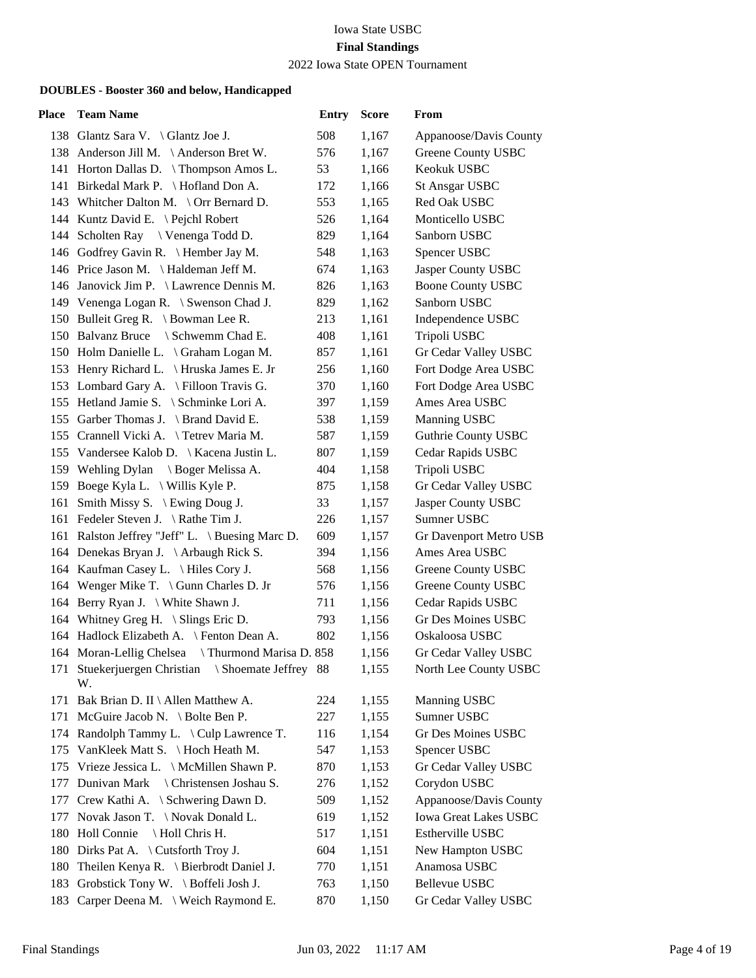2022 Iowa State OPEN Tournament

| Place | <b>Team Name</b>                                            | <b>Entry</b> | <b>Score</b> | From                         |
|-------|-------------------------------------------------------------|--------------|--------------|------------------------------|
|       | 138 Glantz Sara V. \ Glantz Joe J.                          | 508          | 1,167        | Appanoose/Davis County       |
|       | 138 Anderson Jill M. \Anderson Bret W.                      | 576          | 1,167        | Greene County USBC           |
|       | 141 Horton Dallas D. \Thompson Amos L.                      | 53           | 1,166        | Keokuk USBC                  |
|       | 141 Birkedal Mark P. \ Hofland Don A.                       | 172          | 1,166        | <b>St Ansgar USBC</b>        |
|       | 143 Whitcher Dalton M. \ Orr Bernard D.                     | 553          | 1,165        | Red Oak USBC                 |
|       | 144 Kuntz David E. \ Pejchl Robert                          | 526          | 1,164        | Monticello USBC              |
|       | 144 Scholten Ray \ Venenga Todd D.                          | 829          | 1,164        | Sanborn USBC                 |
|       | 146 Godfrey Gavin R. \Hember Jay M.                         | 548          | 1,163        | Spencer USBC                 |
|       | 146 Price Jason M. \ Haldeman Jeff M.                       | 674          | 1,163        | Jasper County USBC           |
|       | 146 Janovick Jim P. \ Lawrence Dennis M.                    | 826          | 1,163        | <b>Boone County USBC</b>     |
|       | 149 Venenga Logan R. \ Swenson Chad J.                      | 829          | 1,162        | Sanborn USBC                 |
|       | 150 Bulleit Greg R. \ Bowman Lee R.                         | 213          | 1,161        | Independence USBC            |
|       | 150 Balvanz Bruce \ Schwemm Chad E.                         | 408          | 1,161        | Tripoli USBC                 |
|       | 150 Holm Danielle L. \ Graham Logan M.                      | 857          | 1,161        | Gr Cedar Valley USBC         |
|       | 153 Henry Richard L. \ Hruska James E. Jr                   | 256          | 1,160        | Fort Dodge Area USBC         |
|       | 153 Lombard Gary A. \ Filloon Travis G.                     | 370          | 1,160        | Fort Dodge Area USBC         |
|       | 155 Hetland Jamie S. \ Schminke Lori A.                     | 397          | 1,159        | Ames Area USBC               |
|       | 155 Garber Thomas J. \ Brand David E.                       | 538          | 1,159        | Manning USBC                 |
|       | 155 Crannell Vicki A. \ Tetrev Maria M.                     | 587          | 1,159        | <b>Guthrie County USBC</b>   |
|       | 155 Vandersee Kalob D.   Kacena Justin L.                   | 807          | 1,159        | Cedar Rapids USBC            |
|       | 159 Wehling Dylan \ Boger Melissa A.                        | 404          | 1,158        | Tripoli USBC                 |
|       | 159 Boege Kyla L. \ Willis Kyle P.                          | 875          | 1,158        | Gr Cedar Valley USBC         |
| 161   | Smith Missy S. \ Ewing Doug J.                              | 33           | 1,157        | Jasper County USBC           |
|       | 161 Fedeler Steven J. \Rathe Tim J.                         | 226          | 1,157        | Sumner USBC                  |
|       | 161 Ralston Jeffrey "Jeff" L. \ Buesing Marc D.             | 609          | 1,157        | Gr Davenport Metro USB       |
|       | 164 Denekas Bryan J. \Arbaugh Rick S.                       | 394          | 1,156        | Ames Area USBC               |
|       | 164 Kaufman Casey L. \ Hiles Cory J.                        | 568          | 1,156        | Greene County USBC           |
|       | 164 Wenger Mike T. \Gunn Charles D. Jr                      | 576          | 1,156        | <b>Greene County USBC</b>    |
|       | 164 Berry Ryan J. \ White Shawn J.                          | 711          | 1,156        | Cedar Rapids USBC            |
|       | 164 Whitney Greg H. \ Slings Eric D.                        | 793          | 1,156        | <b>Gr Des Moines USBC</b>    |
|       | 164 Hadlock Elizabeth A. \ Fenton Dean A.                   | 802          | 1,156        | Oskaloosa USBC               |
|       | 164 Moran-Lellig Chelsea<br>Thurmond Marisa D. 858          |              | 1,156        | Gr Cedar Valley USBC         |
|       | 171 Stuekerjuergen Christian<br>\ Shoemate Jeffrey 88<br>W. |              | 1,155        | North Lee County USBC        |
| 171   | Bak Brian D. II \ Allen Matthew A.                          | 224          | 1,155        | <b>Manning USBC</b>          |
|       | 171 McGuire Jacob N. \ Bolte Ben P.                         | 227          | 1,155        | Sumner USBC                  |
|       | 174 Randolph Tammy L. \ Culp Lawrence T.                    | 116          | 1,154        | Gr Des Moines USBC           |
|       | 175 VanKleek Matt S. \ Hoch Heath M.                        | 547          | 1,153        | Spencer USBC                 |
|       | 175 Vrieze Jessica L. \ McMillen Shawn P.                   | 870          | 1,153        | Gr Cedar Valley USBC         |
|       | 177 Dunivan Mark \ Christensen Joshau S.                    | 276          | 1,152        | Corydon USBC                 |
|       | 177 Crew Kathi A. \ Schwering Dawn D.                       | 509          | 1,152        | Appanoose/Davis County       |
|       | 177 Novak Jason T. \Novak Donald L.                         | 619          | 1,152        | <b>Iowa Great Lakes USBC</b> |
|       | 180 Holl Connie<br>Holl Chris H.                            | 517          | 1,151        | Estherville USBC             |
|       | 180 Dirks Pat A. \ Cutsforth Troy J.                        | 604          | 1,151        | New Hampton USBC             |
| 180   | Theilen Kenya R. \ Bierbrodt Daniel J.                      | 770          | 1,151        | Anamosa USBC                 |
|       | 183 Grobstick Tony W. \ Boffeli Josh J.                     | 763          | 1,150        | Bellevue USBC                |
|       | 183 Carper Deena M. \ Weich Raymond E.                      | 870          | 1,150        | Gr Cedar Valley USBC         |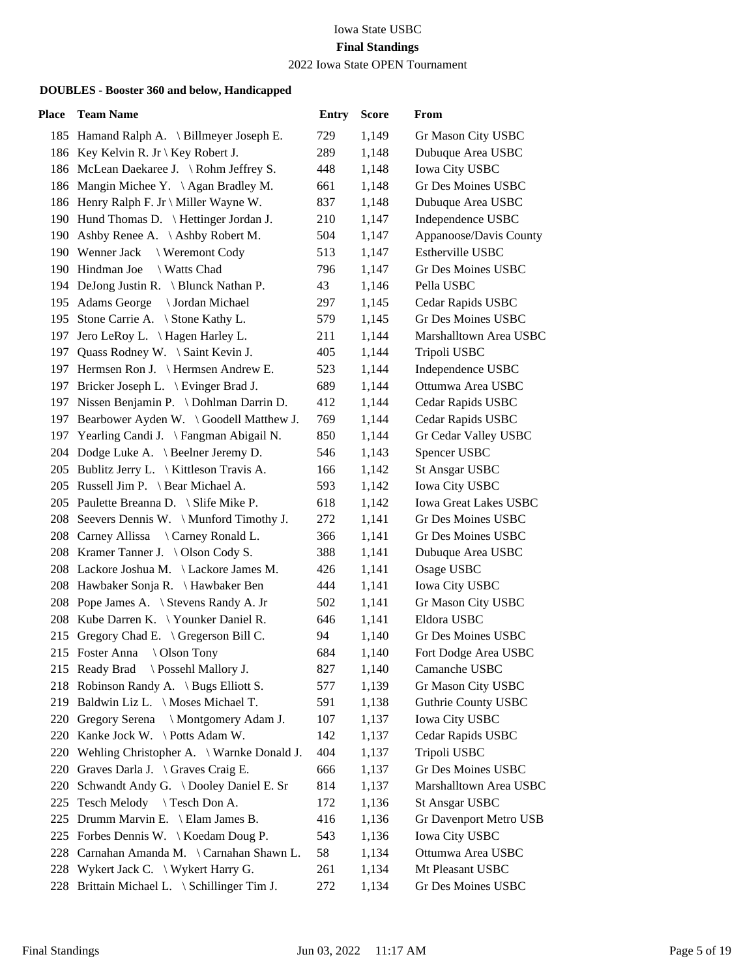2022 Iowa State OPEN Tournament

| Place | <b>Team Name</b>                              | <b>Entry</b> | <b>Score</b> | From                         |
|-------|-----------------------------------------------|--------------|--------------|------------------------------|
|       | 185 Hamand Ralph A. \ Billmeyer Joseph E.     | 729          | 1,149        | Gr Mason City USBC           |
|       | 186 Key Kelvin R. Jr \ Key Robert J.          | 289          | 1,148        | Dubuque Area USBC            |
|       | 186 McLean Daekaree J. \Rohm Jeffrey S.       | 448          | 1,148        | Iowa City USBC               |
|       | 186 Mangin Michee Y. \Agan Bradley M.         | 661          | 1,148        | Gr Des Moines USBC           |
|       | 186 Henry Ralph F. Jr \ Miller Wayne W.       | 837          | 1,148        | Dubuque Area USBC            |
|       | 190 Hund Thomas D.   Hettinger Jordan J.      | 210          | 1,147        | Independence USBC            |
|       | 190 Ashby Renee A. \Ashby Robert M.           | 504          | 1,147        | Appanoose/Davis County       |
|       | 190 Wenner Jack \ Weremont Cody               | 513          | 1,147        | Estherville USBC             |
|       | 190 Hindman Joe<br>\ Watts Chad               | 796          | 1,147        | Gr Des Moines USBC           |
|       | 194 DeJong Justin R. \ Blunck Nathan P.       | 43           | 1,146        | Pella USBC                   |
|       | 195 Adams George \ Jordan Michael             | 297          | 1,145        | Cedar Rapids USBC            |
|       | 195 Stone Carrie A. \ Stone Kathy L.          | 579          | 1,145        | <b>Gr Des Moines USBC</b>    |
|       | 197 Jero LeRoy L. \Hagen Harley L.            | 211          | 1,144        | Marshalltown Area USBC       |
|       | 197 Quass Rodney W. \ Saint Kevin J.          | 405          | 1,144        | Tripoli USBC                 |
|       | 197 Hermsen Ron J. \ Hermsen Andrew E.        | 523          | 1,144        | Independence USBC            |
|       | 197 Bricker Joseph L. \ Evinger Brad J.       | 689          | 1,144        | Ottumwa Area USBC            |
|       | 197 Nissen Benjamin P. \ Dohlman Darrin D.    | 412          | 1,144        | Cedar Rapids USBC            |
| 197   | Bearbower Ayden W. \ Goodell Matthew J.       | 769          | 1,144        | Cedar Rapids USBC            |
| 197   | Yearling Candi J. \ Fangman Abigail N.        | 850          | 1,144        | Gr Cedar Valley USBC         |
|       | 204 Dodge Luke A. \ Beelner Jeremy D.         | 546          | 1,143        | Spencer USBC                 |
|       | 205 Bublitz Jerry L. \ Kittleson Travis A.    | 166          | 1,142        | <b>St Ansgar USBC</b>        |
|       | 205 Russell Jim P. \ Bear Michael A.          | 593          | 1,142        | Iowa City USBC               |
|       | 205 Paulette Breanna D. \ Slife Mike P.       | 618          | 1,142        | <b>Iowa Great Lakes USBC</b> |
|       | 208 Seevers Dennis W. \Munford Timothy J.     | 272          | 1,141        | Gr Des Moines USBC           |
|       | 208 Carney Allissa \ Carney Ronald L.         | 366          | 1,141        | Gr Des Moines USBC           |
|       | 208 Kramer Tanner J. \Olson Cody S.           | 388          | 1,141        | Dubuque Area USBC            |
|       | 208 Lackore Joshua M. \Lackore James M.       | 426          | 1,141        | Osage USBC                   |
|       | 208 Hawbaker Sonja R. \Hawbaker Ben           | 444          | 1,141        | Iowa City USBC               |
|       | 208 Pope James A. \ Stevens Randy A. Jr       | 502          | 1,141        | Gr Mason City USBC           |
|       | 208 Kube Darren K. \ Younker Daniel R.        | 646          | 1,141        | Eldora USBC                  |
|       | 215 Gregory Chad E. \ Gregerson Bill C.       | 94           | 1,140        | Gr Des Moines USBC           |
|       | 215 Foster Anna<br>\ Olson Tony               | 684          | 1,140        | Fort Dodge Area USBC         |
|       | 215 Ready Brad \ Possehl Mallory J.           | 827          | 1,140        | Camanche USBC                |
| 218   | Robinson Randy A. \ Bugs Elliott S.           | 577          | 1,139        | Gr Mason City USBC           |
| 219   | Baldwin Liz L. \ Moses Michael T.             | 591          | 1,138        | <b>Guthrie County USBC</b>   |
|       | 220 Gregory Serena \ Montgomery Adam J.       | 107          | 1,137        | <b>Iowa City USBC</b>        |
|       | 220 Kanke Jock W. \Potts Adam W.              | 142          | 1,137        | Cedar Rapids USBC            |
|       | 220 Wehling Christopher A. \ Warnke Donald J. | 404          | 1,137        | Tripoli USBC                 |
| 220   | Graves Darla J. $\langle$ Graves Craig E.     | 666          | 1,137        | Gr Des Moines USBC           |
| 220   | Schwandt Andy G. \ Dooley Daniel E. Sr        | 814          | 1,137        | Marshalltown Area USBC       |
| 225   | Tesch Melody \ Tesch Don A.                   | 172          | 1,136        | <b>St Ansgar USBC</b>        |
| 225   | Drumm Marvin E. \ Elam James B.               | 416          | 1,136        | Gr Davenport Metro USB       |
|       | 225 Forbes Dennis W. \ Koedam Doug P.         | 543          | 1,136        | <b>Iowa City USBC</b>        |
|       | 228 Carnahan Amanda M. \ Carnahan Shawn L.    | 58           | 1,134        | Ottumwa Area USBC            |
|       | 228 Wykert Jack C. \ Wykert Harry G.          | 261          | 1,134        | Mt Pleasant USBC             |
| 228   | Brittain Michael L. \ Schillinger Tim J.      | 272          | 1,134        | Gr Des Moines USBC           |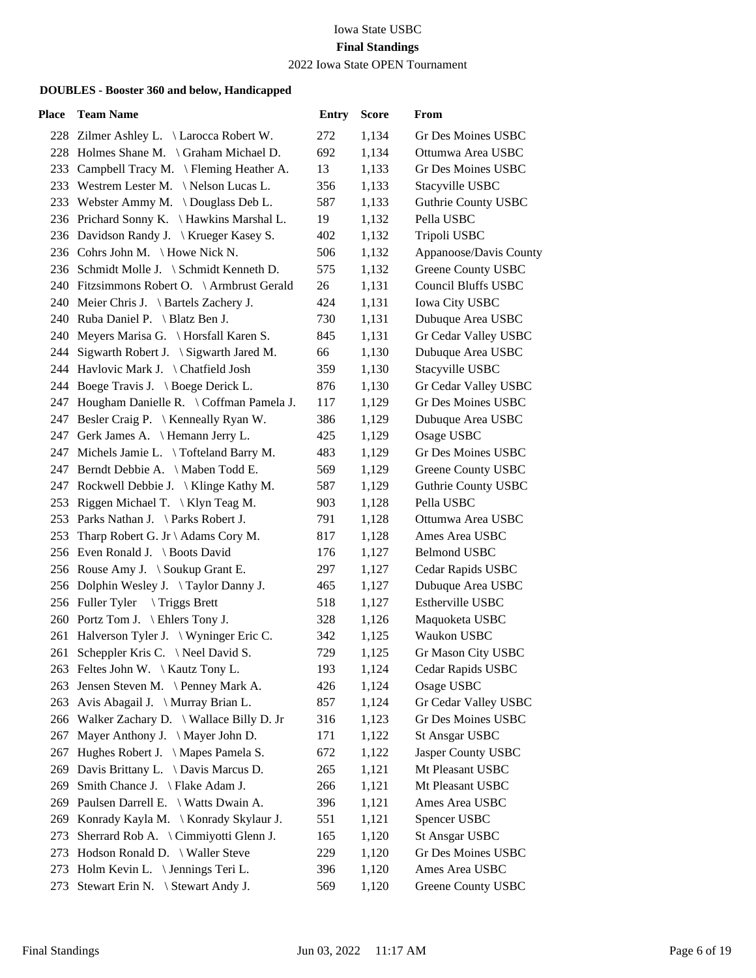2022 Iowa State OPEN Tournament

| Place | <b>Team Name</b>                                                             | <b>Entry</b> | <b>Score</b>   | From                                        |
|-------|------------------------------------------------------------------------------|--------------|----------------|---------------------------------------------|
|       | 228 Zilmer Ashley L. \ Larocca Robert W.                                     | 272          | 1,134          | Gr Des Moines USBC                          |
|       | 228 Holmes Shane M. \ Graham Michael D.                                      | 692          | 1,134          | Ottumwa Area USBC                           |
| 233   | Campbell Tracy M. \ Fleming Heather A.                                       | 13           | 1,133          | Gr Des Moines USBC                          |
|       | 233 Westrem Lester M. \Nelson Lucas L.                                       | 356          | 1,133          | Stacyville USBC                             |
|       | 233 Webster Ammy M. \Douglass Deb L.                                         | 587          | 1,133          | Guthrie County USBC                         |
|       | 236 Prichard Sonny K. \ Hawkins Marshal L.                                   | 19           | 1,132          | Pella USBC                                  |
|       | 236 Davidson Randy J. \ Krueger Kasey S.                                     | 402          | 1,132          | Tripoli USBC                                |
|       | 236 Cohrs John M. \Howe Nick N.                                              | 506          | 1,132          | Appanoose/Davis County                      |
|       | 236 Schmidt Molle J. \ Schmidt Kenneth D.                                    | 575          | 1,132          | Greene County USBC                          |
|       | 240 Fitzsimmons Robert O. \ Armbrust Gerald                                  | 26           | 1,131          | <b>Council Bluffs USBC</b>                  |
|       | 240 Meier Chris J. \ Bartels Zachery J.                                      | 424          | 1,131          | Iowa City USBC                              |
|       | 240 Ruba Daniel P. \ Blatz Ben J.                                            | 730          | 1,131          | Dubuque Area USBC                           |
|       | 240 Meyers Marisa G. \ Horsfall Karen S.                                     | 845          | 1,131          | Gr Cedar Valley USBC                        |
|       | 244 Sigwarth Robert J. \ Sigwarth Jared M.                                   | 66           | 1,130          | Dubuque Area USBC                           |
|       | 244 Havlovic Mark J. \ Chatfield Josh                                        | 359          | 1,130          | Stacyville USBC                             |
|       | 244 Boege Travis J. \ Boege Derick L.                                        | 876          | 1,130          | Gr Cedar Valley USBC                        |
|       | 247 Hougham Danielle R. \ Coffman Pamela J.                                  | 117          | 1,129          | Gr Des Moines USBC                          |
|       | 247 Besler Craig P. \ Kenneally Ryan W.                                      | 386          | 1,129          | Dubuque Area USBC                           |
|       | 247 Gerk James A. \ Hemann Jerry L.                                          | 425          | 1,129          | Osage USBC                                  |
|       | 247 Michels Jamie L. \Tofteland Barry M.                                     | 483          | 1,129          | Gr Des Moines USBC                          |
|       | 247 Berndt Debbie A. \ Maben Todd E.                                         | 569          | 1,129          | Greene County USBC                          |
|       | 247 Rockwell Debbie J.   Klinge Kathy M.                                     | 587          | 1,129          | <b>Guthrie County USBC</b>                  |
| 253   | Riggen Michael T. $\{Klyn \text{ Teag } M. \}$                               | 903          | 1,128          | Pella USBC                                  |
|       | 253 Parks Nathan J. \ Parks Robert J.                                        | 791          | 1,128          | Ottumwa Area USBC                           |
|       | 253 Tharp Robert G. Jr \ Adams Cory M.                                       | 817          | 1,128          | Ames Area USBC                              |
|       | 256 Even Ronald J. \ Boots David                                             | 176          | 1,127          | <b>Belmond USBC</b>                         |
|       | 256 Rouse Amy J. \ Soukup Grant E.                                           | 297          | 1,127          | Cedar Rapids USBC                           |
|       | 256 Dolphin Wesley J. \Taylor Danny J.                                       | 465          | 1,127          | Dubuque Area USBC                           |
|       | 256 Fuller Tyler \Triggs Brett                                               | 518          | 1,127          | <b>Estherville USBC</b>                     |
|       | 260 Portz Tom J. \ Ehlers Tony J.                                            | 328          | 1,126          | Maquoketa USBC                              |
|       | 261 Halverson Tyler J. \Wyninger Eric C.                                     | 342          | 1,125          | Waukon USBC                                 |
|       | 261 Scheppler Kris C. \Neel David S.                                         | 729          | 1,125          | Gr Mason City USBC                          |
|       | 263 Feltes John W. \ Kautz Tony L.                                           | 193          | 1,124          | Cedar Rapids USBC                           |
| 263   | Jensen Steven M. \ Penney Mark A.                                            | 426          | 1,124          | Osage USBC                                  |
| 263   | Avis Abagail J. \ Murray Brian L.                                            | 857          | 1,124          | Gr Cedar Valley USBC                        |
|       | 266 Walker Zachary D. \Wallace Billy D. Jr                                   | 316          | 1,123          | Gr Des Moines USBC                          |
| 267   | Mayer Anthony J. \ Mayer John D.                                             | 171          | 1,122          | <b>St Ansgar USBC</b>                       |
| 267   | Hughes Robert J. \ Mapes Pamela S.                                           | 672          | 1,122          | Jasper County USBC                          |
| 269   | Davis Brittany L. \ Davis Marcus D.                                          | 265          | 1,121          | Mt Pleasant USBC                            |
| 269   | Smith Chance J. \ Flake Adam J.                                              | 266          | 1,121          | Mt Pleasant USBC                            |
| 269   | Paulsen Darrell E. \ Watts Dwain A.                                          | 396          | 1,121          | Ames Area USBC                              |
| 269   | Konrady Kayla M. \ Konrady Skylaur J.                                        | 551          | 1,121          | Spencer USBC                                |
| 273   | Sherrard Rob A. \ Cimmiyotti Glenn J.<br>273 Hodson Ronald D. \ Waller Steve | 165<br>229   | 1,120          | <b>St Ansgar USBC</b><br>Gr Des Moines USBC |
|       | 273 Holm Kevin L. \ Jennings Teri L.                                         | 396          | 1,120<br>1,120 | Ames Area USBC                              |
|       | 273 Stewart Erin N. \ Stewart Andy J.                                        | 569          | 1,120          | Greene County USBC                          |
|       |                                                                              |              |                |                                             |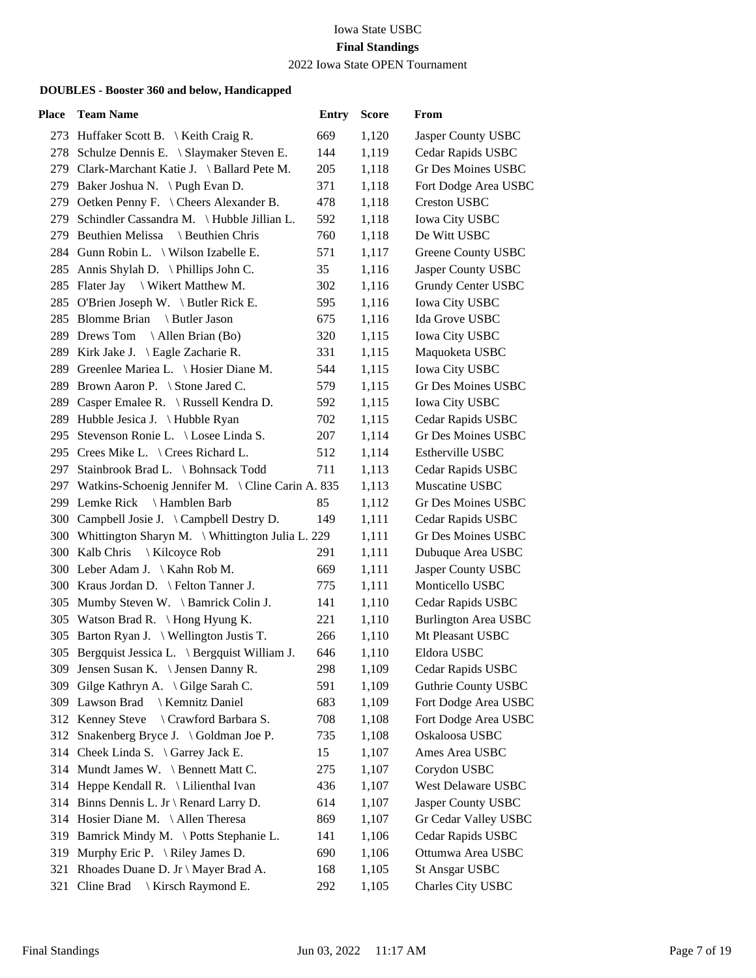2022 Iowa State OPEN Tournament

| Place | <b>Team Name</b>                                      | <b>Entry</b> | <b>Score</b> | From                        |
|-------|-------------------------------------------------------|--------------|--------------|-----------------------------|
|       | 273 Huffaker Scott B. \ Keith Craig R.                | 669          | 1,120        | Jasper County USBC          |
|       | 278 Schulze Dennis E. \ Slaymaker Steven E.           | 144          | 1,119        | Cedar Rapids USBC           |
|       | 279 Clark-Marchant Katie J. \ Ballard Pete M.         | 205          | 1,118        | Gr Des Moines USBC          |
|       | 279 Baker Joshua N. \Pugh Evan D.                     | 371          | 1,118        | Fort Dodge Area USBC        |
|       | 279 Oetken Penny F. \ Cheers Alexander B.             | 478          | 1,118        | <b>Creston USBC</b>         |
| 279   | Schindler Cassandra M. \Hubble Jillian L.             | 592          | 1,118        | <b>Iowa City USBC</b>       |
|       | 279 Beuthien Melissa<br>Beuthien Chris                | 760          | 1,118        | De Witt USBC                |
|       | 284 Gunn Robin L. \ Wilson Izabelle E.                | 571          | 1,117        | Greene County USBC          |
|       | 285 Annis Shylah D. \Phillips John C.                 | 35           | 1,116        | Jasper County USBC          |
|       | 285 Flater Jay \ Wikert Matthew M.                    | 302          | 1,116        | Grundy Center USBC          |
|       | 285 O'Brien Joseph W. \ Butler Rick E.                | 595          | 1,116        | <b>Iowa City USBC</b>       |
|       | 285 Blomme Brian<br>\ Butler Jason                    | 675          | 1,116        | Ida Grove USBC              |
|       | 289 Drews Tom \Allen Brian (Bo)                       | 320          | 1,115        | <b>Iowa City USBC</b>       |
|       | 289 Kirk Jake J. \ Eagle Zacharie R.                  | 331          | 1,115        | Maquoketa USBC              |
|       | 289 Greenlee Mariea L. \ Hosier Diane M.              | 544          | 1,115        | <b>Iowa City USBC</b>       |
|       | 289 Brown Aaron P. \ Stone Jared C.                   | 579          | 1,115        | Gr Des Moines USBC          |
|       | 289 Casper Emalee R. \ Russell Kendra D.              | 592          | 1,115        | <b>Iowa City USBC</b>       |
|       | 289 Hubble Jesica J. \Hubble Ryan                     | 702          | 1,115        | Cedar Rapids USBC           |
|       | 295 Stevenson Ronie L. \ Losee Linda S.               | 207          | 1,114        | <b>Gr Des Moines USBC</b>   |
|       | 295 Crees Mike L. \ Crees Richard L.                  | 512          | 1,114        | Estherville USBC            |
|       | 297 Stainbrook Brad L. \ Bohnsack Todd                | 711          | 1,113        | Cedar Rapids USBC           |
|       | 297 Watkins-Schoenig Jennifer M. \ Cline Carin A. 835 |              | 1,113        | Muscatine USBC              |
|       | 299 Lemke Rick \ Hamblen Barb                         | 85           | 1,112        | Gr Des Moines USBC          |
|       | 300 Campbell Josie J. \Campbell Destry D.             | 149          | 1,111        | Cedar Rapids USBC           |
|       | 300 Whittington Sharyn M. \ Whittington Julia L. 229  |              | 1,111        | Gr Des Moines USBC          |
|       | 300 Kalb Chris<br>  Kilcoyce Rob                      | 291          | 1,111        | Dubuque Area USBC           |
|       | 300 Leber Adam J. \ Kahn Rob M.                       | 669          | 1,111        | Jasper County USBC          |
|       | 300 Kraus Jordan D. \ Felton Tanner J.                | 775          | 1,111        | Monticello USBC             |
|       | 305 Mumby Steven W. \ Bamrick Colin J.                | 141          | 1,110        | Cedar Rapids USBC           |
|       | 305 Watson Brad R. \Hong Hyung K.                     | 221          | 1,110        | <b>Burlington Area USBC</b> |
|       | 305 Barton Ryan J. \ Wellington Justis T.             | 266          | 1,110        | Mt Pleasant USBC            |
|       | 305 Bergquist Jessica L. \ Bergquist William J.       | 646          | 1,110        | Eldora USBC                 |
|       | 309 Jensen Susan K. \ Jensen Danny R.                 | 298          | 1,109        | Cedar Rapids USBC           |
| 309   | Gilge Kathryn A. \Gilge Sarah C.                      | 591          | 1,109        | <b>Guthrie County USBC</b>  |
| 309   | <b>Kemnitz Daniel</b><br>Lawson Brad                  | 683          | 1,109        | Fort Dodge Area USBC        |
|       | 312 Kenney Steve<br>\ Crawford Barbara S.             | 708          | 1,108        | Fort Dodge Area USBC        |
|       | 312 Snakenberg Bryce J. \Goldman Joe P.               | 735          | 1,108        | Oskaloosa USBC              |
|       | 314 Cheek Linda S. \ Garrey Jack E.                   | 15           | 1,107        | Ames Area USBC              |
|       | 314 Mundt James W. \ Bennett Matt C.                  | 275          | 1,107        | Corydon USBC                |
|       | 314 Heppe Kendall R. \ Lilienthal Ivan                | 436          | 1,107        | West Delaware USBC          |
|       | 314 Binns Dennis L. Jr \ Renard Larry D.              | 614          | 1,107        | Jasper County USBC          |
|       | 314 Hosier Diane M. \Allen Theresa                    | 869          | 1,107        | Gr Cedar Valley USBC        |
| 319   | Bamrick Mindy M. \ Potts Stephanie L.                 | 141          | 1,106        | Cedar Rapids USBC           |
| 319   | Murphy Eric P. $\{$ Riley James D.                    | 690          | 1,106        | Ottumwa Area USBC           |
| 321   | Rhoades Duane D. Jr \ Mayer Brad A.                   | 168          | 1,105        | <b>St Ansgar USBC</b>       |
| 321   | Cline Brad \ Kirsch Raymond E.                        | 292          | 1,105        | Charles City USBC           |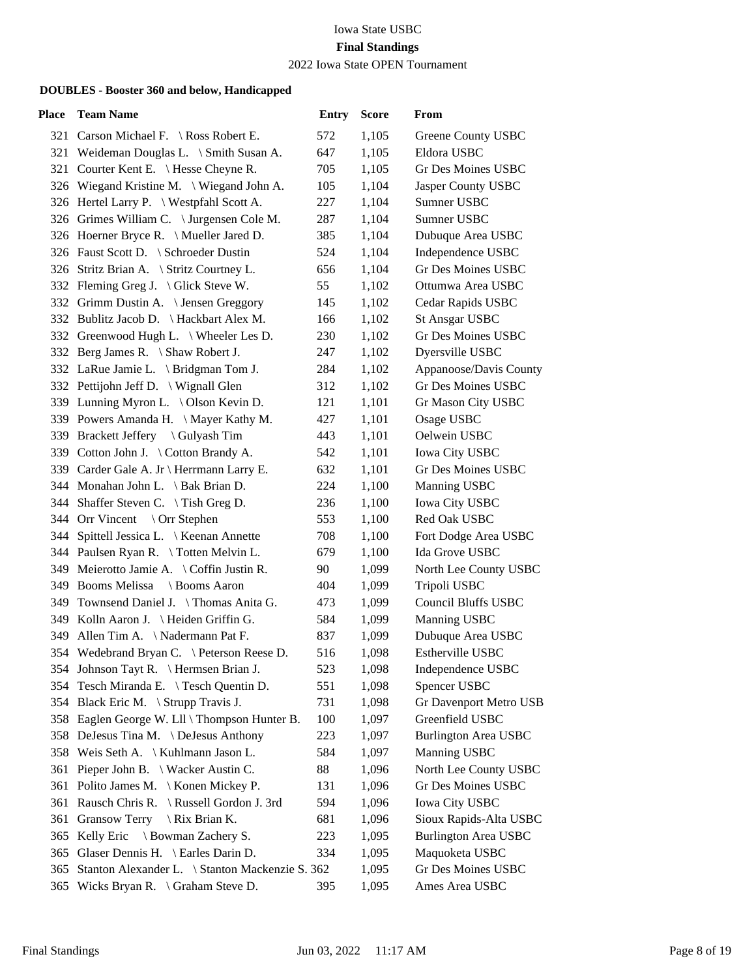2022 Iowa State OPEN Tournament

| Place | <b>Team Name</b>                                | <b>Entry</b> | <b>Score</b> | From                        |
|-------|-------------------------------------------------|--------------|--------------|-----------------------------|
|       | 321 Carson Michael F. \ Ross Robert E.          | 572          | 1,105        | Greene County USBC          |
|       | 321 Weideman Douglas L. \ Smith Susan A.        | 647          | 1,105        | Eldora USBC                 |
|       | 321 Courter Kent E. \ Hesse Cheyne R.           | 705          | 1,105        | Gr Des Moines USBC          |
|       | 326 Wiegand Kristine M. \ Wiegand John A.       | 105          | 1,104        | Jasper County USBC          |
|       | 326 Hertel Larry P. \ Westpfahl Scott A.        | 227          | 1,104        | Sumner USBC                 |
|       | 326 Grimes William C. \ Jurgensen Cole M.       | 287          | 1,104        | Sumner USBC                 |
|       | 326 Hoerner Bryce R. \ Mueller Jared D.         | 385          | 1,104        | Dubuque Area USBC           |
|       | 326 Faust Scott D. \ Schroeder Dustin           | 524          | 1,104        | Independence USBC           |
|       | 326 Stritz Brian A. \ Stritz Courtney L.        | 656          | 1,104        | <b>Gr Des Moines USBC</b>   |
|       | 332 Fleming Greg J. \ Glick Steve W.            | 55           | 1,102        | Ottumwa Area USBC           |
|       | 332 Grimm Dustin A. \ Jensen Greggory           | 145          | 1,102        | Cedar Rapids USBC           |
|       | 332 Bublitz Jacob D. \ Hackbart Alex M.         | 166          | 1,102        | <b>St Ansgar USBC</b>       |
|       | 332 Greenwood Hugh L. \ Wheeler Les D.          | 230          | 1,102        | Gr Des Moines USBC          |
|       | 332 Berg James R. \ Shaw Robert J.              | 247          | 1,102        | Dyersville USBC             |
|       | 332 LaRue Jamie L. \ Bridgman Tom J.            | 284          | 1,102        | Appanoose/Davis County      |
|       | 332 Pettijohn Jeff D. \ Wignall Glen            | 312          | 1,102        | <b>Gr Des Moines USBC</b>   |
|       | 339 Lunning Myron L. \ Olson Kevin D.           | 121          | 1,101        | Gr Mason City USBC          |
|       | 339 Powers Amanda H. \ Mayer Kathy M.           | 427          | 1,101        | Osage USBC                  |
|       | 339 Brackett Jeffery \ Gulyash Tim              | 443          | 1,101        | Oelwein USBC                |
|       | 339 Cotton John J. \ Cotton Brandy A.           | 542          | 1,101        | <b>Iowa City USBC</b>       |
|       | 339 Carder Gale A. Jr \ Herrmann Larry E.       | 632          | 1,101        | Gr Des Moines USBC          |
|       | 344 Monahan John L. \ Bak Brian D.              | 224          | 1,100        | Manning USBC                |
|       | 344 Shaffer Steven C. \ Tish Greg D.            | 236          | 1,100        | <b>Iowa City USBC</b>       |
|       | 344 Orr Vincent \ Orr Stephen                   | 553          | 1,100        | Red Oak USBC                |
|       | 344 Spittell Jessica L. \ Keenan Annette        | 708          | 1,100        | Fort Dodge Area USBC        |
|       | 344 Paulsen Ryan R. \Totten Melvin L.           | 679          | 1,100        | Ida Grove USBC              |
|       | 349 Meierotto Jamie A. \ Coffin Justin R.       | 90           | 1,099        | North Lee County USBC       |
|       | 349 Booms Melissa<br>Booms Aaron                | 404          | 1,099        | Tripoli USBC                |
|       | 349 Townsend Daniel J. \Thomas Anita G.         | 473          | 1,099        | Council Bluffs USBC         |
|       | 349 Kolln Aaron J. \ Heiden Griffin G.          | 584          | 1,099        | Manning USBC                |
|       | 349 Allen Tim A. \Nadermann Pat F.              | 837          | 1,099        | Dubuque Area USBC           |
|       | 354 Wedebrand Bryan C. \ Peterson Reese D.      | 516          | 1,098        | Estherville USBC            |
|       | 354 Johnson Tayt R. \ Hermsen Brian J.          | 523          | 1,098        | Independence USBC           |
|       | 354 Tesch Miranda E. \Tesch Quentin D.          | 551          | 1,098        | Spencer USBC                |
|       | 354 Black Eric M. \ Strupp Travis J.            | 731          | 1,098        | Gr Davenport Metro USB      |
|       | 358 Eaglen George W. Lll \ Thompson Hunter B.   | 100          | 1,097        | Greenfield USBC             |
|       | 358 DeJesus Tina M. \DeJesus Anthony            | 223          | 1,097        | <b>Burlington Area USBC</b> |
|       | 358 Weis Seth A. \ Kuhlmann Jason L.            | 584          | 1,097        | Manning USBC                |
| 361   | Pieper John B. \ Wacker Austin C.               | 88           | 1,096        | North Lee County USBC       |
| 361   | Polito James M. \ Konen Mickey P.               | 131          | 1,096        | Gr Des Moines USBC          |
|       | 361 Rausch Chris R. \ Russell Gordon J. 3rd     | 594          | 1,096        | <b>Iowa City USBC</b>       |
| 361   | Gransow Terry $\setminus$ Rix Brian K.          | 681          | 1,096        | Sioux Rapids-Alta USBC      |
| 365   | Kelly Eric \ Bowman Zachery S.                  | 223          | 1,095        | <b>Burlington Area USBC</b> |
| 365   | Glaser Dennis H. \ Earles Darin D.              | 334          | 1,095        | Maquoketa USBC              |
| 365   | Stanton Alexander L. \ Stanton Mackenzie S. 362 |              | 1,095        | Gr Des Moines USBC          |
|       | 365 Wicks Bryan R. \ Graham Steve D.            | 395          | 1,095        | Ames Area USBC              |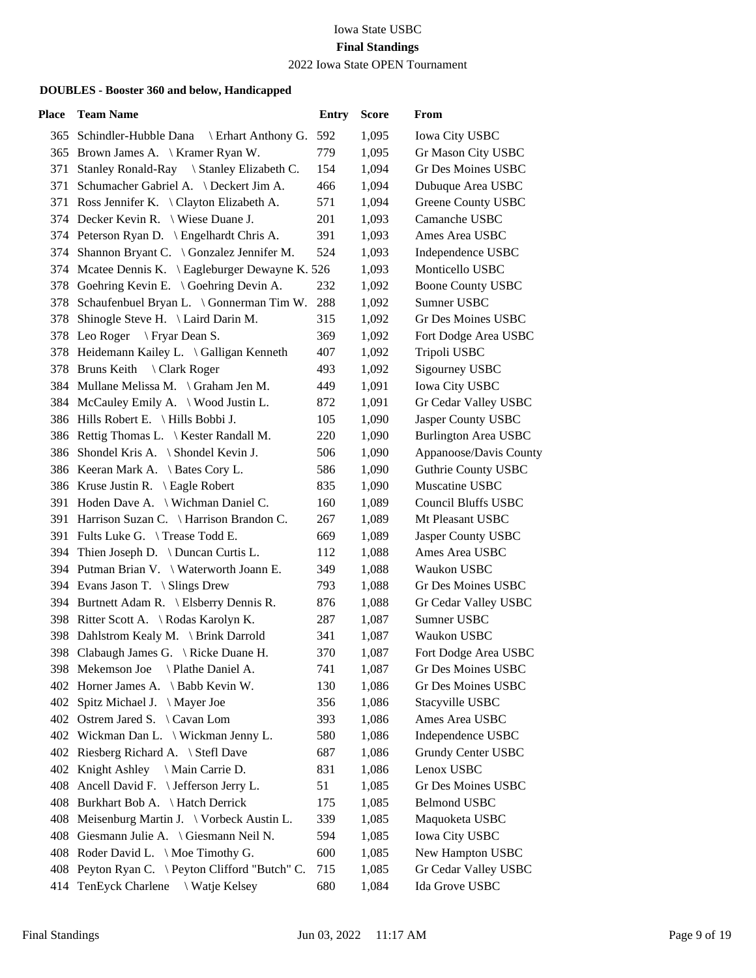2022 Iowa State OPEN Tournament

| Place | <b>Team Name</b>                                  | <b>Entry</b> | <b>Score</b> | From                        |
|-------|---------------------------------------------------|--------------|--------------|-----------------------------|
|       | 365 Schindler-Hubble Dana<br>\ Erhart Anthony G.  | 592          | 1,095        | <b>Iowa City USBC</b>       |
|       | 365 Brown James A. \ Kramer Ryan W.               | 779          | 1,095        | Gr Mason City USBC          |
| 371   | Stanley Ronald-Ray \ Stanley Elizabeth C.         | 154          | 1,094        | <b>Gr Des Moines USBC</b>   |
|       | 371 Schumacher Gabriel A. \ Deckert Jim A.        | 466          | 1,094        | Dubuque Area USBC           |
|       | 371 Ross Jennifer K. \ Clayton Elizabeth A.       | 571          | 1,094        | Greene County USBC          |
|       | 374 Decker Kevin R. \ Wiese Duane J.              | 201          | 1,093        | Camanche USBC               |
|       | 374 Peterson Ryan D. \ Engelhardt Chris A.        | 391          | 1,093        | Ames Area USBC              |
|       | 374 Shannon Bryant C. \ Gonzalez Jennifer M.      | 524          | 1,093        | Independence USBC           |
|       | 374 Mcatee Dennis K. \ Eagleburger Dewayne K. 526 |              | 1,093        | Monticello USBC             |
|       | 378 Goehring Kevin E. \ Goehring Devin A.         | 232          | 1,092        | <b>Boone County USBC</b>    |
|       | 378 Schaufenbuel Bryan L. \ Gonnerman Tim W.      | 288          | 1,092        | Sumner USBC                 |
|       | 378 Shinogle Steve H. \ Laird Darin M.            | 315          | 1,092        | Gr Des Moines USBC          |
|       | 378 Leo Roger \ Fryar Dean S.                     | 369          | 1,092        | Fort Dodge Area USBC        |
|       | 378 Heidemann Kailey L. \ Galligan Kenneth        | 407          | 1,092        | Tripoli USBC                |
|       | 378 Bruns Keith<br>\ Clark Roger                  | 493          | 1,092        | Sigourney USBC              |
|       | 384 Mullane Melissa M. \ Graham Jen M.            | 449          | 1,091        | <b>Iowa City USBC</b>       |
|       | 384 McCauley Emily A. \ Wood Justin L.            | 872          | 1,091        | Gr Cedar Valley USBC        |
|       | 386 Hills Robert E. \ Hills Bobbi J.              | 105          | 1,090        | Jasper County USBC          |
|       | 386 Rettig Thomas L. \ Kester Randall M.          | 220          | 1,090        | <b>Burlington Area USBC</b> |
|       | 386 Shondel Kris A. \ Shondel Kevin J.            | 506          | 1,090        | Appanoose/Davis County      |
|       | 386 Keeran Mark A. \ Bates Cory L.                | 586          | 1,090        | <b>Guthrie County USBC</b>  |
|       | 386 Kruse Justin R. \ Eagle Robert                | 835          | 1,090        | Muscatine USBC              |
|       | 391 Hoden Dave A.   Wichman Daniel C.             | 160          | 1,089        | <b>Council Bluffs USBC</b>  |
|       | 391 Harrison Suzan C. \ Harrison Brandon C.       | 267          | 1,089        | Mt Pleasant USBC            |
|       | 391 Fults Luke G. \Trease Todd E.                 | 669          | 1,089        | Jasper County USBC          |
|       | 394 Thien Joseph D. \ Duncan Curtis L.            | 112          | 1,088        | Ames Area USBC              |
|       | 394 Putman Brian V. \ Waterworth Joann E.         | 349          | 1,088        | Waukon USBC                 |
|       | 394 Evans Jason T. \ Slings Drew                  | 793          | 1,088        | <b>Gr Des Moines USBC</b>   |
|       | 394 Burtnett Adam R. \ Elsberry Dennis R.         | 876          | 1,088        | Gr Cedar Valley USBC        |
|       | 398 Ritter Scott A. \ Rodas Karolyn K.            | 287          | 1,087        | Sumner USBC                 |
|       | 398 Dahlstrom Kealy M. \ Brink Darrold            | 341          | 1,087        | Waukon USBC                 |
|       | 398 Clabaugh James G. \ Ricke Duane H.            | 370          | 1,087        | Fort Dodge Area USBC        |
|       | 398 Mekemson Joe<br>\ Plathe Daniel A.            | 741          | 1,087        | Gr Des Moines USBC          |
|       | 402 Horner James A. \ Babb Kevin W.               | 130          | 1,086        | Gr Des Moines USBC          |
| 402   | Spitz Michael J. \ Mayer Joe                      | 356          | 1,086        | Stacyville USBC             |
|       | 402 Ostrem Jared S. \Cavan Lom                    | 393          | 1,086        | Ames Area USBC              |
|       | 402 Wickman Dan L. \ Wickman Jenny L.             | 580          | 1,086        | Independence USBC           |
|       | 402 Riesberg Richard A. \ Stefl Dave              | 687          | 1,086        | Grundy Center USBC          |
|       | 402 Knight Ashley \ Main Carrie D.                | 831          | 1,086        | Lenox USBC                  |
|       | 408 Ancell David F. \ Jefferson Jerry L.          | 51           | 1,085        | Gr Des Moines USBC          |
|       | 408 Burkhart Bob A. \Hatch Derrick                | 175          | 1,085        | <b>Belmond USBC</b>         |
|       | 408 Meisenburg Martin J. \ Vorbeck Austin L.      | 339          | 1,085        | Maquoketa USBC              |
|       | 408 Giesmann Julie A. \ Giesmann Neil N.          | 594          | 1,085        | <b>Iowa City USBC</b>       |
|       | 408 Roder David L. \ Moe Timothy G.               | 600          | 1,085        | New Hampton USBC            |
|       | 408 Peyton Ryan C. \ Peyton Clifford "Butch" C.   | 715          | 1,085        | Gr Cedar Valley USBC        |
| 414   | TenEyck Charlene \ Watje Kelsey                   | 680          | 1,084        | Ida Grove USBC              |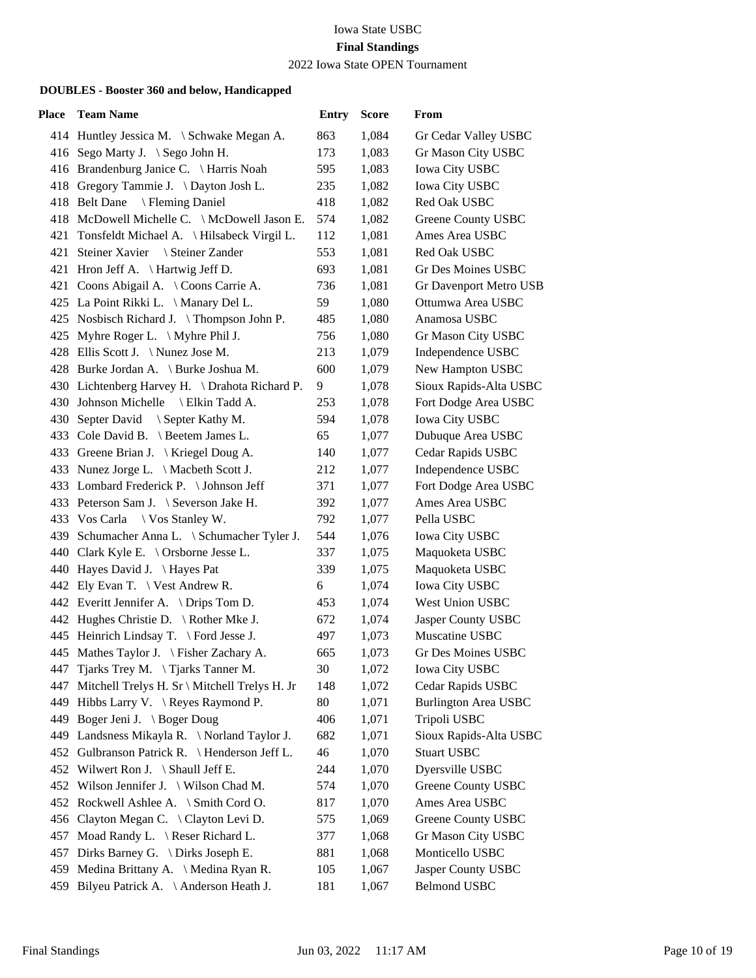2022 Iowa State OPEN Tournament

| <b>Place</b> | <b>Team Name</b>                                 | <b>Entry</b> | <b>Score</b> | From                        |
|--------------|--------------------------------------------------|--------------|--------------|-----------------------------|
|              | 414 Huntley Jessica M. \ Schwake Megan A.        | 863          | 1,084        | Gr Cedar Valley USBC        |
|              | 416 Sego Marty J. \ Sego John H.                 | 173          | 1,083        | Gr Mason City USBC          |
|              | 416 Brandenburg Janice C. \ Harris Noah          | 595          | 1,083        | Iowa City USBC              |
|              | 418 Gregory Tammie J. \ Dayton Josh L.           | 235          | 1,082        | Iowa City USBC              |
|              | 418 Belt Dane \ Fleming Daniel                   | 418          | 1,082        | Red Oak USBC                |
|              | 418 McDowell Michelle C. \ McDowell Jason E.     | 574          | 1,082        | Greene County USBC          |
|              | 421 Tonsfeldt Michael A. \ Hilsabeck Virgil L.   | 112          | 1,081        | Ames Area USBC              |
|              | 421 Steiner Xavier \ Steiner Zander              | 553          | 1,081        | Red Oak USBC                |
|              | 421 Hron Jeff A. \ Hartwig Jeff D.               | 693          | 1,081        | Gr Des Moines USBC          |
|              | 421 Coons Abigail A. \ Coons Carrie A.           | 736          | 1,081        | Gr Davenport Metro USB      |
|              | 425 La Point Rikki L. \ Manary Del L.            | 59           | 1,080        | Ottumwa Area USBC           |
|              | 425 Nosbisch Richard J. \Thompson John P.        | 485          | 1,080        | Anamosa USBC                |
|              | 425 Myhre Roger L. \ Myhre Phil J.               | 756          | 1,080        | Gr Mason City USBC          |
|              | 428 Ellis Scott J. \ Nunez Jose M.               | 213          | 1,079        | Independence USBC           |
|              | 428 Burke Jordan A. \ Burke Joshua M.            | 600          | 1,079        | New Hampton USBC            |
|              | 430 Lichtenberg Harvey H. \ Drahota Richard P.   | 9            | 1,078        | Sioux Rapids-Alta USBC      |
|              | 430 Johnson Michelle<br>\ Elkin Tadd A.          | 253          | 1,078        | Fort Dodge Area USBC        |
|              | 430 Septer David \ Septer Kathy M.               | 594          | 1,078        | Iowa City USBC              |
|              | 433 Cole David B. \ Beetem James L.              | 65           | 1,077        | Dubuque Area USBC           |
|              | 433 Greene Brian J. \ Kriegel Doug A.            | 140          | 1,077        | Cedar Rapids USBC           |
|              | 433 Nunez Jorge L. \ Macbeth Scott J.            | 212          | 1,077        | Independence USBC           |
|              | 433 Lombard Frederick P. \Johnson Jeff           | 371          | 1,077        | Fort Dodge Area USBC        |
|              | 433 Peterson Sam J. \ Severson Jake H.           | 392          | 1,077        | Ames Area USBC              |
|              | 433 Vos Carla \ Vos Stanley W.                   | 792          | 1,077        | Pella USBC                  |
|              | 439 Schumacher Anna L. \ Schumacher Tyler J.     | 544          | 1,076        | Iowa City USBC              |
|              | 440 Clark Kyle E. \ Orsborne Jesse L.            | 337          | 1,075        | Maquoketa USBC              |
|              | 440 Hayes David J. \ Hayes Pat                   | 339          | 1,075        | Maquoketa USBC              |
|              | 442 Ely Evan T. \ Vest Andrew R.                 | 6            | 1,074        | Iowa City USBC              |
|              | 442 Everitt Jennifer A. \ Drips Tom D.           | 453          | 1,074        | West Union USBC             |
|              | 442 Hughes Christie D. $\setminus$ Rother Mke J. | 672          | 1,074        | Jasper County USBC          |
|              | 445 Heinrich Lindsay T. \ Ford Jesse J.          | 497          | 1,073        | Muscatine USBC              |
|              | 445 Mathes Taylor J. \ Fisher Zachary A.         | 665          | 1,073        | Gr Des Moines USBC          |
|              | 447 Tjarks Trey M. \Tjarks Tanner M.             | 30           | 1,072        | <b>Iowa City USBC</b>       |
| 447          | Mitchell Trelys H. Sr \ Mitchell Trelys H. Jr    | 148          | 1,072        | Cedar Rapids USBC           |
| 449          | Hibbs Larry V. \ Reyes Raymond P.                | 80           | 1,071        | <b>Burlington Area USBC</b> |
| 449          | Boger Jeni J. \ Boger Doug                       | 406          | 1,071        | Tripoli USBC                |
| 449          | Landsness Mikayla R. \ Norland Taylor J.         | 682          | 1,071        | Sioux Rapids-Alta USBC      |
|              | 452 Gulbranson Patrick R. \ Henderson Jeff L.    | 46           | 1,070        | <b>Stuart USBC</b>          |
|              | 452 Wilwert Ron J. \ Shaull Jeff E.              | 244          | 1,070        | Dyersville USBC             |
|              | 452 Wilson Jennifer J. \ Wilson Chad M.          | 574          | 1,070        | <b>Greene County USBC</b>   |
|              | 452 Rockwell Ashlee A. \ Smith Cord O.           | 817          | 1,070        | Ames Area USBC              |
| 456          | Clayton Megan C. \ Clayton Levi D.               | 575          | 1,069        | <b>Greene County USBC</b>   |
| 457          | Moad Randy L. \ Reser Richard L.                 | 377          | 1,068        | Gr Mason City USBC          |
|              | 457 Dirks Barney G. \ Dirks Joseph E.            | 881          | 1,068        | Monticello USBC             |
| 459.         | Medina Brittany A. \ Medina Ryan R.              | 105          | 1,067        | Jasper County USBC          |
| 459          | Bilyeu Patrick A. \ Anderson Heath J.            | 181          | 1,067        | <b>Belmond USBC</b>         |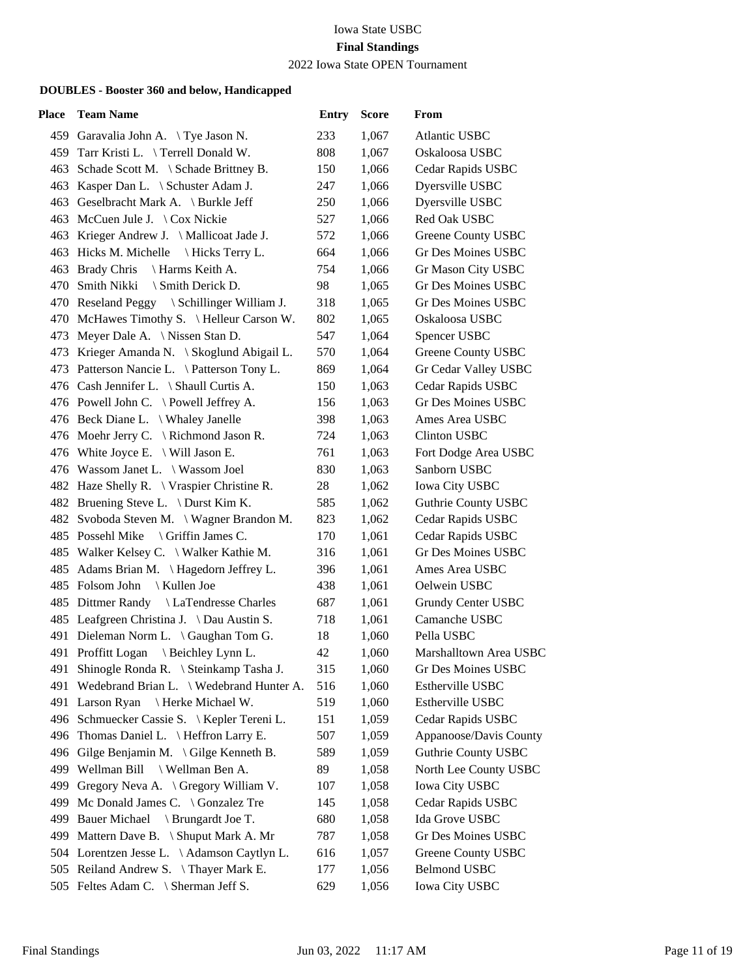2022 Iowa State OPEN Tournament

| <b>Place</b> | <b>Team Name</b>                            | <b>Entry</b> | <b>Score</b> | From                       |
|--------------|---------------------------------------------|--------------|--------------|----------------------------|
|              | 459 Garavalia John A. \Tye Jason N.         | 233          | 1,067        | <b>Atlantic USBC</b>       |
|              | 459 Tarr Kristi L. \Terrell Donald W.       | 808          | 1,067        | Oskaloosa USBC             |
|              | 463 Schade Scott M. \ Schade Brittney B.    | 150          | 1,066        | Cedar Rapids USBC          |
|              | 463 Kasper Dan L. \ Schuster Adam J.        | 247          | 1,066        | Dyersville USBC            |
|              | 463 Geselbracht Mark A. \ Burkle Jeff       | 250          | 1,066        | Dyersville USBC            |
|              | 463 McCuen Jule J. \ Cox Nickie             | 527          | 1,066        | Red Oak USBC               |
|              | 463 Krieger Andrew J. \ Mallicoat Jade J.   | 572          | 1,066        | Greene County USBC         |
|              | 463 Hicks M. Michelle \ Hicks Terry L.      | 664          | 1,066        | <b>Gr Des Moines USBC</b>  |
|              | 463 Brady Chris<br>\ Harms Keith A.         | 754          | 1,066        | Gr Mason City USBC         |
|              | 470 Smith Nikki<br>\ Smith Derick D.        | 98           | 1,065        | Gr Des Moines USBC         |
|              | 470 Reseland Peggy \ Schillinger William J. | 318          | 1,065        | Gr Des Moines USBC         |
|              | 470 McHawes Timothy S. \ Helleur Carson W.  | 802          | 1,065        | Oskaloosa USBC             |
|              | 473 Meyer Dale A. \ Nissen Stan D.          | 547          | 1,064        | Spencer USBC               |
|              | 473 Krieger Amanda N. \ Skoglund Abigail L. | 570          | 1,064        | Greene County USBC         |
|              | 473 Patterson Nancie L. \ Patterson Tony L. | 869          | 1,064        | Gr Cedar Valley USBC       |
|              | 476 Cash Jennifer L. \ Shaull Curtis A.     | 150          | 1,063        | Cedar Rapids USBC          |
|              | 476 Powell John C. \Powell Jeffrey A.       | 156          | 1,063        | Gr Des Moines USBC         |
|              | 476 Beck Diane L. \ Whaley Janelle          | 398          | 1,063        | Ames Area USBC             |
|              | 476 Moehr Jerry C. \ Richmond Jason R.      | 724          | 1,063        | <b>Clinton USBC</b>        |
|              | 476 White Joyce E. \ Will Jason E.          | 761          | 1,063        | Fort Dodge Area USBC       |
|              | 476 Wassom Janet L. \ Wassom Joel           | 830          | 1,063        | Sanborn USBC               |
|              | 482 Haze Shelly R. \ Vraspier Christine R.  | 28           | 1,062        | Iowa City USBC             |
|              | 482 Bruening Steve L. \ Durst Kim K.        | 585          | 1,062        | Guthrie County USBC        |
|              | 482 Svoboda Steven M. \ Wagner Brandon M.   | 823          | 1,062        | Cedar Rapids USBC          |
|              | 485 Possehl Mike<br>\ Griffin James C.      | 170          | 1,061        | Cedar Rapids USBC          |
|              | 485 Walker Kelsey C. \ Walker Kathie M.     | 316          | 1,061        | Gr Des Moines USBC         |
|              | 485 Adams Brian M. \Hagedorn Jeffrey L.     | 396          | 1,061        | Ames Area USBC             |
|              | 485 Folsom John \ Kullen Joe                | 438          | 1,061        | Oelwein USBC               |
|              | 485 Dittmer Randy \ LaTendresse Charles     | 687          | 1,061        | Grundy Center USBC         |
|              | 485 Leafgreen Christina J. \ Dau Austin S.  | 718          | 1,061        | Camanche USBC              |
|              | 491 Dieleman Norm L. \ Gaughan Tom G.       | 18           | 1,060        | Pella USBC                 |
|              | 491 Proffitt Logan<br>Beichley Lynn L.      | 42           | 1,060        | Marshalltown Area USBC     |
|              | 491 Shinogle Ronda R. \ Steinkamp Tasha J.  | 315          | 1,060        | Gr Des Moines USBC         |
| 491          | Wedebrand Brian L. \ Wedebrand Hunter A.    | 516          | 1,060        | Estherville USBC           |
| 491          | Larson Ryan<br>Herke Michael W.             | 519          | 1,060        | Estherville USBC           |
|              | 496 Schmuecker Cassie S. \ Kepler Tereni L. | 151          | 1,059        | Cedar Rapids USBC          |
|              | 496 Thomas Daniel L. \ Heffron Larry E.     | 507          | 1,059        | Appanoose/Davis County     |
|              | 496 Gilge Benjamin M. \Gilge Kenneth B.     | 589          | 1,059        | <b>Guthrie County USBC</b> |
| 499          | Wellman Bill \ Wellman Ben A.               | 89           | 1,058        | North Lee County USBC      |
|              | 499 Gregory Neva A. \ Gregory William V.    | 107          | 1,058        | Iowa City USBC             |
| 499          | Mc Donald James C. \ Gonzalez Tre           | 145          | 1,058        | Cedar Rapids USBC          |
| 499          | <b>Bauer Michael</b><br>Brungardt Joe T.    | 680          | 1,058        | Ida Grove USBC             |
| 499          | Mattern Dave B. \ Shuput Mark A. Mr         | 787          | 1,058        | Gr Des Moines USBC         |
|              | 504 Lorentzen Jesse L. \Adamson Caytlyn L.  | 616          | 1,057        | Greene County USBC         |
|              | 505 Reiland Andrew S. \Thayer Mark E.       | 177          | 1,056        | <b>Belmond USBC</b>        |
|              | 505 Feltes Adam C. \ Sherman Jeff S.        | 629          | 1,056        | Iowa City USBC             |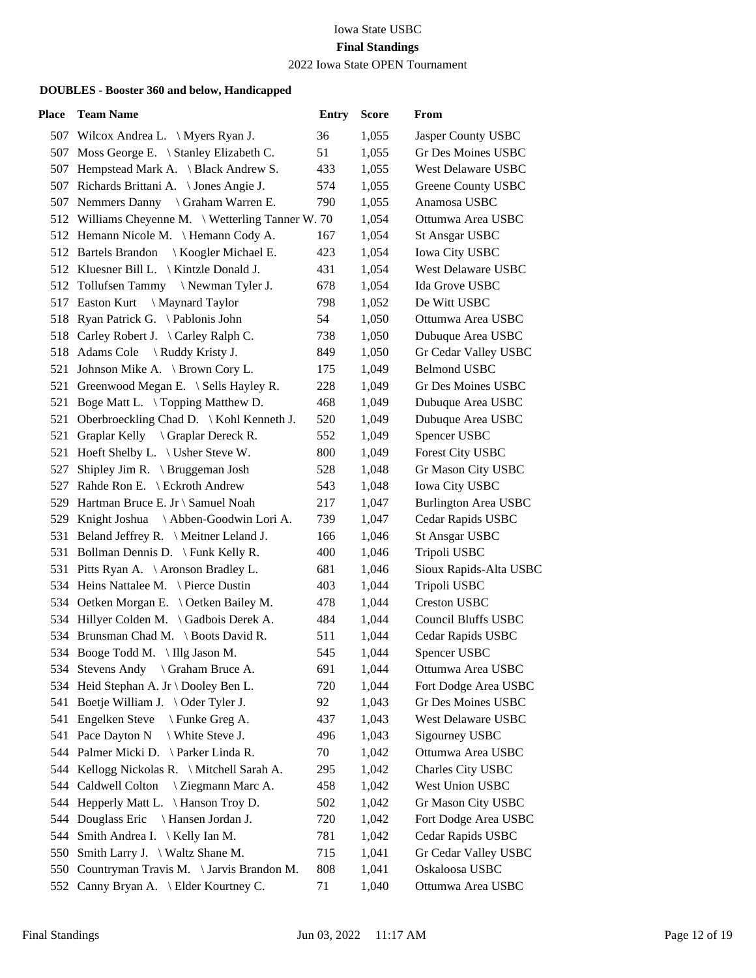2022 Iowa State OPEN Tournament

| Place | <b>Team Name</b>                                   | <b>Entry</b> | <b>Score</b> | From                        |
|-------|----------------------------------------------------|--------------|--------------|-----------------------------|
|       | 507 Wilcox Andrea L. \ Myers Ryan J.               | 36           | 1,055        | Jasper County USBC          |
|       | 507 Moss George E. \ Stanley Elizabeth C.          | 51           | 1,055        | Gr Des Moines USBC          |
| 507   | Hempstead Mark A. \ Black Andrew S.                | 433          | 1,055        | <b>West Delaware USBC</b>   |
|       | 507 Richards Brittani A. \ Jones Angie J.          | 574          | 1,055        | Greene County USBC          |
|       | 507 Nemmers Danny \ Graham Warren E.               | 790          | 1,055        | Anamosa USBC                |
|       | 512 Williams Cheyenne M. \ Wetterling Tanner W. 70 |              | 1,054        | Ottumwa Area USBC           |
|       | 512 Hemann Nicole M. \Hemann Cody A.               | 167          | 1,054        | <b>St Ansgar USBC</b>       |
|       | 512 Bartels Brandon<br>Koogler Michael E.          | 423          | 1,054        | <b>Iowa City USBC</b>       |
|       | 512 Kluesner Bill L. \ Kintzle Donald J.           | 431          | 1,054        | <b>West Delaware USBC</b>   |
|       | 512 Tollufsen Tammy \Newman Tyler J.               | 678          | 1,054        | Ida Grove USBC              |
|       | 517 Easton Kurt<br>\ Maynard Taylor                | 798          | 1,052        | De Witt USBC                |
|       | 518 Ryan Patrick G. \Pablonis John                 | 54           | 1,050        | Ottumwa Area USBC           |
|       | 518 Carley Robert J. \ Carley Ralph C.             | 738          | 1,050        | Dubuque Area USBC           |
|       | 518 Adams Cole \ Ruddy Kristy J.                   | 849          | 1,050        | Gr Cedar Valley USBC        |
|       | 521 Johnson Mike A. \ Brown Cory L.                | 175          | 1,049        | <b>Belmond USBC</b>         |
|       | 521 Greenwood Megan E. \ Sells Hayley R.           | 228          | 1,049        | Gr Des Moines USBC          |
|       | 521 Boge Matt L. \Topping Matthew D.               | 468          | 1,049        | Dubuque Area USBC           |
|       | 521 Oberbroeckling Chad D. \ Kohl Kenneth J.       | 520          | 1,049        | Dubuque Area USBC           |
|       | 521 Graplar Kelly \ Graplar Dereck R.              | 552          | 1,049        | Spencer USBC                |
|       | 521 Hoeft Shelby L. \ Usher Steve W.               | 800          | 1,049        | Forest City USBC            |
| 527   | Shipley Jim R. $\langle$ Bruggeman Josh            | 528          | 1,048        | Gr Mason City USBC          |
| 527   | Rahde Ron E. \ Eckroth Andrew                      | 543          | 1,048        | Iowa City USBC              |
|       | 529 Hartman Bruce E. Jr \ Samuel Noah              | 217          | 1,047        | <b>Burlington Area USBC</b> |
|       | 529 Knight Joshua \Abben-Goodwin Lori A.           | 739          | 1,047        | Cedar Rapids USBC           |
|       | 531 Beland Jeffrey R. \ Meitner Leland J.          | 166          | 1,046        | <b>St Ansgar USBC</b>       |
|       | 531 Bollman Dennis D. \ Funk Kelly R.              | 400          | 1,046        | Tripoli USBC                |
|       | 531 Pitts Ryan A. \ Aronson Bradley L.             | 681          | 1,046        | Sioux Rapids-Alta USBC      |
|       | 534 Heins Nattalee M. \ Pierce Dustin              | 403          | 1,044        | Tripoli USBC                |
|       | 534 Oetken Morgan E. \ Oetken Bailey M.            | 478          | 1,044        | <b>Creston USBC</b>         |
|       | 534 Hillyer Colden M. \ Gadbois Derek A.           | 484          | 1,044        | <b>Council Bluffs USBC</b>  |
|       | 534 Brunsman Chad M. \ Boots David R.              | 511          | 1,044        | Cedar Rapids USBC           |
|       | 534 Booge Todd M. \Illg Jason M.                   | 545          | 1,044        | Spencer USBC                |
|       | 534 Stevens Andy \ Graham Bruce A.                 | 691          | 1,044        | Ottumwa Area USBC           |
|       | 534 Heid Stephan A. Jr \ Dooley Ben L.             | 720          | 1,044        | Fort Dodge Area USBC        |
|       | 541 Boetje William J. \Oder Tyler J.               | 92           | 1,043        | Gr Des Moines USBC          |
|       | 541 Engelken Steve \ Funke Greg A.                 | 437          | 1,043        | West Delaware USBC          |
|       | 541 Pace Dayton N<br>\ White Steve J.              | 496          | 1,043        | Sigourney USBC              |
|       | 544 Palmer Micki D. \ Parker Linda R.              | 70           | 1,042        | Ottumwa Area USBC           |
| 544   | Kellogg Nickolas R. \ Mitchell Sarah A.            | 295          | 1,042        | Charles City USBC           |
|       | 544 Caldwell Colton<br>\ Ziegmann Marc A.          | 458          | 1,042        | West Union USBC             |
|       | 544 Hepperly Matt L. \ Hanson Troy D.              | 502          | 1,042        | Gr Mason City USBC          |
| 544   | Douglass Eric<br>Hansen Jordan J.                  | 720          | 1,042        | Fort Dodge Area USBC        |
| 544   | Smith Andrea I. $\setminus$ Kelly Ian M.           | 781          | 1,042        | Cedar Rapids USBC           |
|       | 550 Smith Larry J. \ Waltz Shane M.                | 715          | 1,041        | Gr Cedar Valley USBC        |
|       | 550 Countryman Travis M. \ Jarvis Brandon M.       | 808          | 1,041        | Oskaloosa USBC              |
|       | 552 Canny Bryan A. \ Elder Kourtney C.             | 71           | 1,040        | Ottumwa Area USBC           |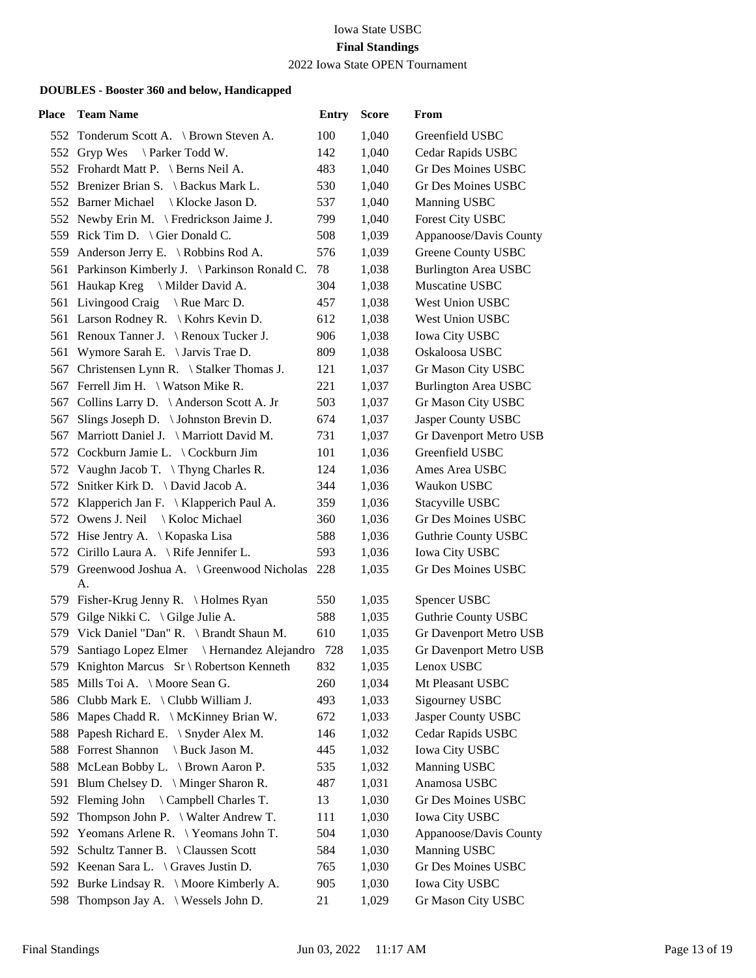2022 Iowa State OPEN Tournament

| Place | <b>Team Name</b>                                   | <b>Entry</b> | <b>Score</b> | From                        |
|-------|----------------------------------------------------|--------------|--------------|-----------------------------|
|       | 552 Tonderum Scott A. \ Brown Steven A.            | 100          | 1,040        | Greenfield USBC             |
|       | 552 Gryp Wes<br>Parker Todd W.                     | 142          | 1,040        | Cedar Rapids USBC           |
|       | 552 Frohardt Matt P. \ Berns Neil A.               | 483          | 1,040        | Gr Des Moines USBC          |
|       | 552 Brenizer Brian S. \ Backus Mark L.             | 530          | 1,040        | Gr Des Moines USBC          |
|       | 552 Barner Michael \ Klocke Jason D.               | 537          | 1,040        | Manning USBC                |
|       | 552 Newby Erin M. \ Fredrickson Jaime J.           | 799          | 1,040        | Forest City USBC            |
|       | 559 Rick Tim D. \ Gier Donald C.                   | 508          | 1,039        | Appanoose/Davis County      |
|       | 559 Anderson Jerry E. \ Robbins Rod A.             | 576          | 1,039        | <b>Greene County USBC</b>   |
|       | 561 Parkinson Kimberly J. \ Parkinson Ronald C.    | 78           | 1,038        | <b>Burlington Area USBC</b> |
|       | 561 Haukap Kreg \ Milder David A.                  | 304          | 1,038        | Muscatine USBC              |
| 561   | Livingood Craig $\setminus$ Rue Marc D.            | 457          | 1,038        | West Union USBC             |
|       | 561 Larson Rodney R. \ Kohrs Kevin D.              | 612          | 1,038        | West Union USBC             |
|       | 561 Renoux Tanner J. \Renoux Tucker J.             | 906          | 1,038        | <b>Iowa City USBC</b>       |
| 561   | Wymore Sarah E. \ Jarvis Trae D.                   | 809          | 1,038        | Oskaloosa USBC              |
| 567   | Christensen Lynn R. \ Stalker Thomas J.            | 121          | 1,037        | Gr Mason City USBC          |
|       | 567 Ferrell Jim H. \ Watson Mike R.                | 221          | 1,037        | <b>Burlington Area USBC</b> |
|       | 567 Collins Larry D. \Anderson Scott A. Jr         | 503          | 1,037        | Gr Mason City USBC          |
| 567   | Slings Joseph D. $\setminus$ Johnston Brevin D.    | 674          | 1,037        | Jasper County USBC          |
| 567   | Marriott Daniel J. \ Marriott David M.             | 731          | 1,037        | Gr Davenport Metro USB      |
|       | 572 Cockburn Jamie L. \ Cockburn Jim               | 101          | 1,036        | Greenfield USBC             |
|       | 572 Vaughn Jacob T. \Thyng Charles R.              | 124          | 1,036        | Ames Area USBC              |
|       | 572 Snitker Kirk D. \ David Jacob A.               | 344          | 1,036        | Waukon USBC                 |
|       | 572 Klapperich Jan F. \ Klapperich Paul A.         | 359          | 1,036        | Stacyville USBC             |
|       | 572 Owens J. Neil<br>Koloc Michael                 | 360          | 1,036        | Gr Des Moines USBC          |
|       | 572 Hise Jentry A. \ Kopaska Lisa                  | 588          | 1,036        | <b>Guthrie County USBC</b>  |
|       | 572 Cirillo Laura A. \ Rife Jennifer L.            | 593          | 1,036        | Iowa City USBC              |
|       | 579 Greenwood Joshua A. \ Greenwood Nicholas<br>А. | 228          | 1,035        | Gr Des Moines USBC          |
|       | 579 Fisher-Krug Jenny R. \ Holmes Ryan             | 550          | 1,035        | Spencer USBC                |
|       | 579 Gilge Nikki C. \ Gilge Julie A.                | 588          | 1,035        | <b>Guthrie County USBC</b>  |
|       | 579 Vick Daniel "Dan" R. \ Brandt Shaun M.         | 610          | 1,035        | Gr Davenport Metro USB      |
|       | 579 Santiago Lopez Elmer \ Hernandez Alejandro 728 |              | 1,035        | Gr Davenport Metro USB      |
|       | 579 Knighton Marcus Sr \ Robertson Kenneth         | 832          | 1,035        | Lenox USBC                  |
|       | 585 Mills Toi A. \ Moore Sean G.                   | 260          | 1,034        | Mt Pleasant USBC            |
|       | 586 Clubb Mark E. \ Clubb William J.               | 493          | 1,033        | Sigourney USBC              |
|       | 586 Mapes Chadd R. \ McKinney Brian W.             | 672          | 1,033        | Jasper County USBC          |
| 588   | Papesh Richard E. \ Snyder Alex M.                 | 146          | 1,032        | Cedar Rapids USBC           |
|       | 588 Forrest Shannon<br>Buck Jason M.               | 445          | 1,032        | Iowa City USBC              |
|       | 588 McLean Bobby L. \ Brown Aaron P.               | 535          | 1,032        | Manning USBC                |
|       | 591 Blum Chelsey D. \ Minger Sharon R.             | 487          | 1,031        | Anamosa USBC                |
|       | 592 Fleming John<br>\ Campbell Charles T.          | 13           | 1,030        | Gr Des Moines USBC          |
| 592   | Thompson John P. $\setminus$ Walter Andrew T.      | 111          | 1,030        | <b>Iowa City USBC</b>       |
|       | 592 Yeomans Arlene R. \Yeomans John T.             | 504          | 1,030        | Appanoose/Davis County      |
| 592.  | Schultz Tanner B. \Claussen Scott                  | 584          | 1,030        | Manning USBC                |
|       | 592 Keenan Sara L. \ Graves Justin D.              | 765          | 1,030        | Gr Des Moines USBC          |
|       | 592 Burke Lindsay R. \ Moore Kimberly A.           | 905          | 1,030        | Iowa City USBC              |
|       | 598 Thompson Jay A. \ Wessels John D.              | 21           | 1,029        | Gr Mason City USBC          |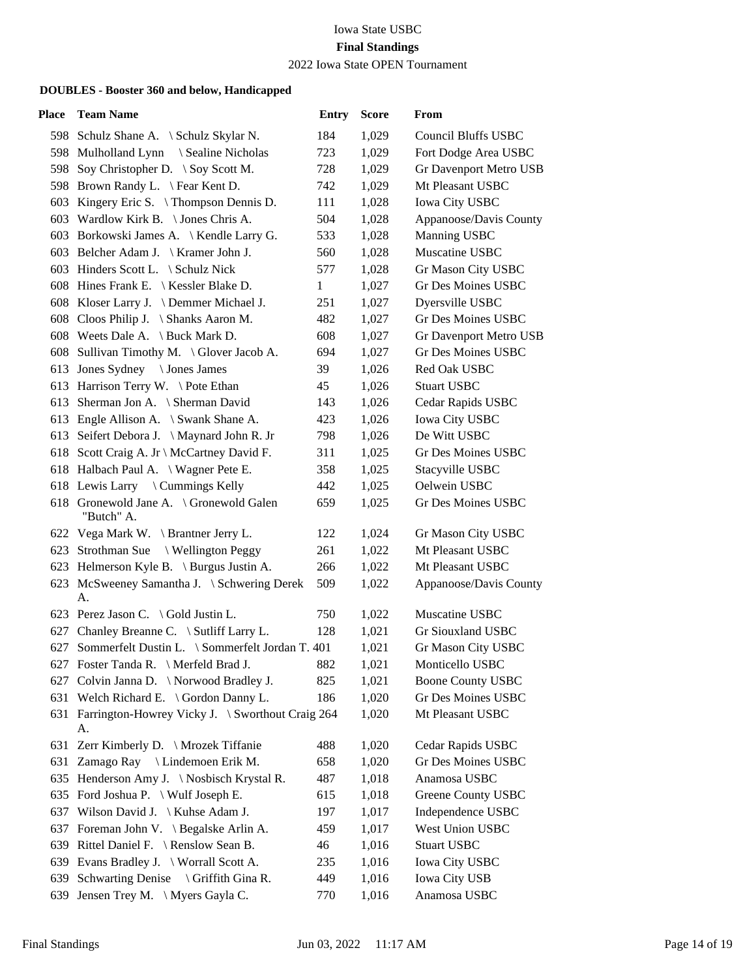2022 Iowa State OPEN Tournament

| Place | <b>Team Name</b>                                           | <b>Entry</b> | <b>Score</b> | From                       |
|-------|------------------------------------------------------------|--------------|--------------|----------------------------|
|       | 598 Schulz Shane A. \ Schulz Skylar N.                     | 184          | 1,029        | <b>Council Bluffs USBC</b> |
|       | 598 Mulholland Lynn \ Sealine Nicholas                     | 723          | 1,029        | Fort Dodge Area USBC       |
| 598   | Soy Christopher D. \ Soy Scott M.                          | 728          | 1,029        | Gr Davenport Metro USB     |
|       | 598 Brown Randy L. \ Fear Kent D.                          | 742          | 1,029        | Mt Pleasant USBC           |
| 603   | Kingery Eric S. $\{$ Thompson Dennis D.                    | 111          | 1,028        | <b>Iowa City USBC</b>      |
|       | 603 Wardlow Kirk B. \ Jones Chris A.                       | 504          | 1,028        | Appanoose/Davis County     |
|       | 603 Borkowski James A. \ Kendle Larry G.                   | 533          | 1,028        | Manning USBC               |
|       | 603 Belcher Adam J. \ Kramer John J.                       | 560          | 1,028        | Muscatine USBC             |
|       | 603 Hinders Scott L. \ Schulz Nick                         | 577          | 1,028        | Gr Mason City USBC         |
|       | 608 Hines Frank E. \ Kessler Blake D.                      | $\mathbf{1}$ | 1,027        | Gr Des Moines USBC         |
|       | 608 Kloser Larry J. \ Demmer Michael J.                    | 251          | 1,027        | Dyersville USBC            |
|       | 608 Cloos Philip J. \ Shanks Aaron M.                      | 482          | 1,027        | Gr Des Moines USBC         |
|       | 608 Weets Dale A. \ Buck Mark D.                           | 608          | 1,027        | Gr Davenport Metro USB     |
|       | 608 Sullivan Timothy M. \ Glover Jacob A.                  | 694          | 1,027        | Gr Des Moines USBC         |
|       | 613 Jones Sydney \Jones James                              | 39           | 1,026        | Red Oak USBC               |
|       | 613 Harrison Terry W. \Pote Ethan                          | 45           | 1,026        | <b>Stuart USBC</b>         |
|       | 613 Sherman Jon A. \ Sherman David                         | 143          | 1,026        | Cedar Rapids USBC          |
|       | 613 Engle Allison A. \ Swank Shane A.                      | 423          | 1,026        | <b>Iowa City USBC</b>      |
|       | 613 Seifert Debora J. \Maynard John R. Jr                  | 798          | 1,026        | De Witt USBC               |
|       | 618 Scott Craig A. Jr \ McCartney David F.                 | 311          | 1,025        | <b>Gr Des Moines USBC</b>  |
|       | 618 Halbach Paul A. \ Wagner Pete E.                       | 358          | 1,025        | Stacyville USBC            |
|       | 618 Lewis Larry \ Cummings Kelly                           | 442          | 1,025        | Oelwein USBC               |
|       | 618 Gronewold Jane A. \ Gronewold Galen<br>"Butch" A.      | 659          | 1,025        | Gr Des Moines USBC         |
|       | 622 Vega Mark W. \ Brantner Jerry L.                       | 122          | 1,024        | Gr Mason City USBC         |
|       | 623 Strothman Sue<br>\ Wellington Peggy                    | 261          | 1,022        | Mt Pleasant USBC           |
|       | 623 Helmerson Kyle B. \ Burgus Justin A.                   | 266          | 1,022        | Mt Pleasant USBC           |
|       | 623 McSweeney Samantha J. \ Schwering Derek<br>А.          | 509          | 1,022        | Appanoose/Davis County     |
|       | 623 Perez Jason C. \ Gold Justin L.                        | 750          | 1,022        | Muscatine USBC             |
|       | 627 Chanley Breanne C. \ Sutliff Larry L.                  | 128          | 1,021        | <b>Gr Siouxland USBC</b>   |
|       | 627 Sommerfelt Dustin L. \ Sommerfelt Jordan T. 401        |              | 1,021        | Gr Mason City USBC         |
|       | 627 Foster Tanda R. \ Merfeld Brad J.                      | 882          | 1,021        | Monticello USBC            |
|       | 627 Colvin Janna D. \ Norwood Bradley J.                   | 825          | 1,021        | <b>Boone County USBC</b>   |
|       | 631 Welch Richard E. \ Gordon Danny L.                     | 186          | 1,020        | Gr Des Moines USBC         |
|       | 631 Farrington-Howrey Vicky J. \ Sworthout Craig 264<br>А. |              | 1,020        | Mt Pleasant USBC           |
|       | 631 Zerr Kimberly D. \ Mrozek Tiffanie                     | 488          | 1,020        | Cedar Rapids USBC          |
| 631   | Zamago Ray \ Lindemoen Erik M.                             | 658          | 1,020        | <b>Gr Des Moines USBC</b>  |
|       | 635 Henderson Amy J. \ Nosbisch Krystal R.                 | 487          | 1,018        | Anamosa USBC               |
|       | 635 Ford Joshua P. \ Wulf Joseph E.                        | 615          | 1,018        | Greene County USBC         |
|       | 637 Wilson David J. \ Kuhse Adam J.                        | 197          | 1,017        | Independence USBC          |
| 637   | Foreman John V. \ Begalske Arlin A.                        | 459          | 1,017        | West Union USBC            |
|       | 639 Rittel Daniel F. \ Renslow Sean B.                     | 46           | 1,016        | <b>Stuart USBC</b>         |
| 639   | Evans Bradley J. \ Worrall Scott A.                        | 235          | 1,016        | <b>Iowa City USBC</b>      |
| 639   | Schwarting Denise \ Griffith Gina R.                       | 449          | 1,016        | Iowa City USB              |
| 639   | Jensen Trey M. \ Myers Gayla C.                            | 770          | 1,016        | Anamosa USBC               |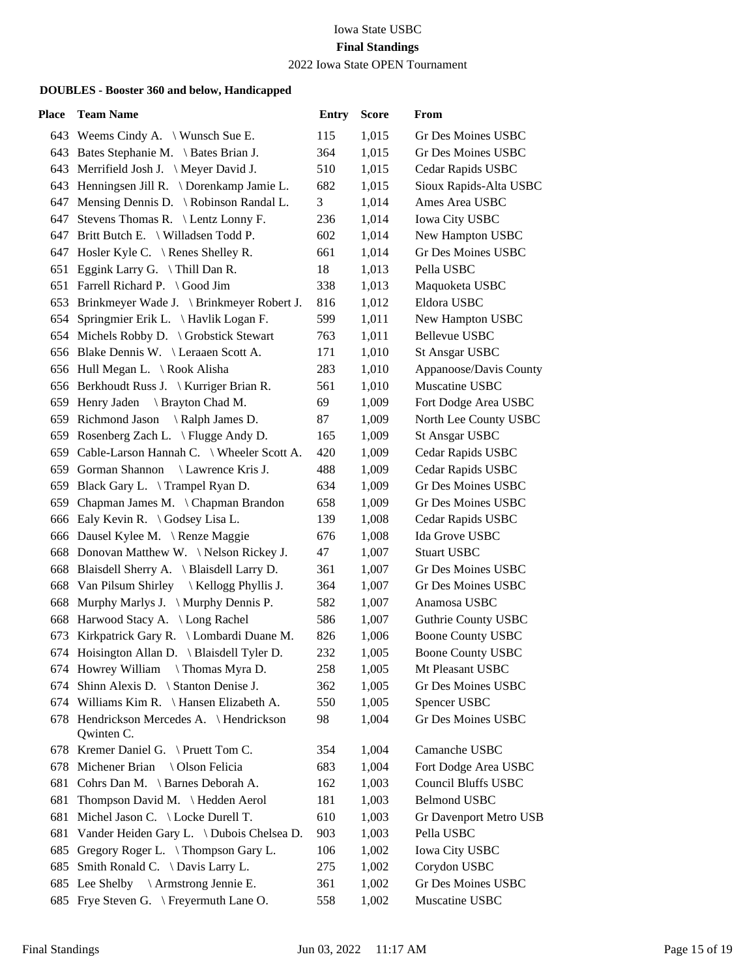2022 Iowa State OPEN Tournament

| Place | <b>Team Name</b>                                       | <b>Entry</b> | <b>Score</b> | From                       |
|-------|--------------------------------------------------------|--------------|--------------|----------------------------|
|       | 643 Weems Cindy A. \Wunsch Sue E.                      | 115          | 1,015        | Gr Des Moines USBC         |
|       | 643 Bates Stephanie M. \ Bates Brian J.                | 364          | 1,015        | Gr Des Moines USBC         |
|       | 643 Merrifield Josh J. \ Meyer David J.                | 510          | 1,015        | Cedar Rapids USBC          |
|       | 643 Henningsen Jill R. \ Dorenkamp Jamie L.            | 682          | 1,015        | Sioux Rapids-Alta USBC     |
|       | 647 Mensing Dennis D. \ Robinson Randal L.             | 3            | 1,014        | Ames Area USBC             |
| 647   | Stevens Thomas R. \ Lentz Lonny F.                     | 236          | 1,014        | <b>Iowa City USBC</b>      |
|       | 647 Britt Butch E. \ Willadsen Todd P.                 | 602          | 1,014        | New Hampton USBC           |
|       | 647 Hosler Kyle C. \ Renes Shelley R.                  | 661          | 1,014        | <b>Gr Des Moines USBC</b>  |
|       | 651 Eggink Larry G. \Thill Dan R.                      | 18           | 1,013        | Pella USBC                 |
|       | 651 Farrell Richard P. \ Good Jim                      | 338          | 1,013        | Maquoketa USBC             |
|       | 653 Brinkmeyer Wade J. \ Brinkmeyer Robert J.          | 816          | 1,012        | Eldora USBC                |
|       | 654 Springmier Erik L. \Havlik Logan F.                | 599          | 1,011        | New Hampton USBC           |
|       | 654 Michels Robby D. \ Grobstick Stewart               | 763          | 1,011        | <b>Bellevue USBC</b>       |
|       | 656 Blake Dennis W. \ Leraaen Scott A.                 | 171          | 1,010        | <b>St Ansgar USBC</b>      |
|       | 656 Hull Megan L. \ Rook Alisha                        | 283          | 1,010        | Appanoose/Davis County     |
|       | 656 Berkhoudt Russ J. \ Kurriger Brian R.              | 561          | 1,010        | Muscatine USBC             |
|       | 659 Henry Jaden \ Brayton Chad M.                      | 69           | 1,009        | Fort Dodge Area USBC       |
|       | 659 Richmond Jason<br>\ Ralph James D.                 | 87           | 1,009        | North Lee County USBC      |
|       | 659 Rosenberg Zach L. \ Flugge Andy D.                 | 165          | 1,009        | <b>St Ansgar USBC</b>      |
|       | 659 Cable-Larson Hannah C. \ Wheeler Scott A.          | 420          | 1,009        | Cedar Rapids USBC          |
|       | 659 Gorman Shannon \ Lawrence Kris J.                  | 488          | 1,009        | Cedar Rapids USBC          |
|       | 659 Black Gary L. \Trampel Ryan D.                     | 634          | 1,009        | <b>Gr Des Moines USBC</b>  |
| 659   | Chapman James M. \Chapman Brandon                      | 658          | 1,009        | Gr Des Moines USBC         |
|       | 666 Ealy Kevin R. \Godsey Lisa L.                      | 139          | 1,008        | Cedar Rapids USBC          |
|       | 666 Dausel Kylee M. \ Renze Maggie                     | 676          | 1,008        | Ida Grove USBC             |
|       | 668 Donovan Matthew W. \Nelson Rickey J.               | 47           | 1,007        | <b>Stuart USBC</b>         |
|       | 668 Blaisdell Sherry A. \ Blaisdell Larry D.           | 361          | 1,007        | <b>Gr Des Moines USBC</b>  |
|       | 668 Van Pilsum Shirley \ Kellogg Phyllis J.            | 364          | 1,007        | <b>Gr Des Moines USBC</b>  |
|       | 668 Murphy Marlys J. \ Murphy Dennis P.                | 582          | 1,007        | Anamosa USBC               |
|       | 668 Harwood Stacy A. \ Long Rachel                     | 586          | 1,007        | <b>Guthrie County USBC</b> |
| 673   | Kirkpatrick Gary R. \ Lombardi Duane M.                | 826          | 1,006        | <b>Boone County USBC</b>   |
|       | 674 Hoisington Allan D. \ Blaisdell Tyler D.           | 232          | 1,005        | <b>Boone County USBC</b>   |
|       | 674 Howrey William \Thomas Myra D.                     | 258          | 1,005        | Mt Pleasant USBC           |
| 674   | Shinn Alexis D. \ Stanton Denise J.                    | 362          | 1,005        | <b>Gr Des Moines USBC</b>  |
|       | 674 Williams Kim R. \ Hansen Elizabeth A.              | 550          | 1,005        | Spencer USBC               |
|       | 678 Hendrickson Mercedes A. \Hendrickson<br>Qwinten C. | 98           | 1,004        | Gr Des Moines USBC         |
|       | 678 Kremer Daniel G. \Pruett Tom C.                    | 354          | 1,004        | Camanche USBC              |
|       | 678 Michener Brian \ Olson Felicia                     | 683          | 1,004        | Fort Dodge Area USBC       |
| 681   | Cohrs Dan M. \ Barnes Deborah A.                       | 162          | 1,003        | <b>Council Bluffs USBC</b> |
| 681   | Thompson David M. \Hedden Aerol                        | 181          | 1,003        | <b>Belmond USBC</b>        |
| 681   | Michel Jason C. \ Locke Durell T.                      | 610          | 1,003        | Gr Davenport Metro USB     |
| 681   | Vander Heiden Gary L. \ Dubois Chelsea D.              | 903          | 1,003        | Pella USBC                 |
| 685   | Gregory Roger L. \Thompson Gary L.                     | 106          | 1,002        | <b>Iowa City USBC</b>      |
| 685   | Smith Ronald C. \ Davis Larry L.                       | 275          | 1,002        | Corydon USBC               |
|       | 685 Lee Shelby \ Armstrong Jennie E.                   | 361          | 1,002        | Gr Des Moines USBC         |
|       | 685 Frye Steven G. \ Freyermuth Lane O.                | 558          | 1,002        | Muscatine USBC             |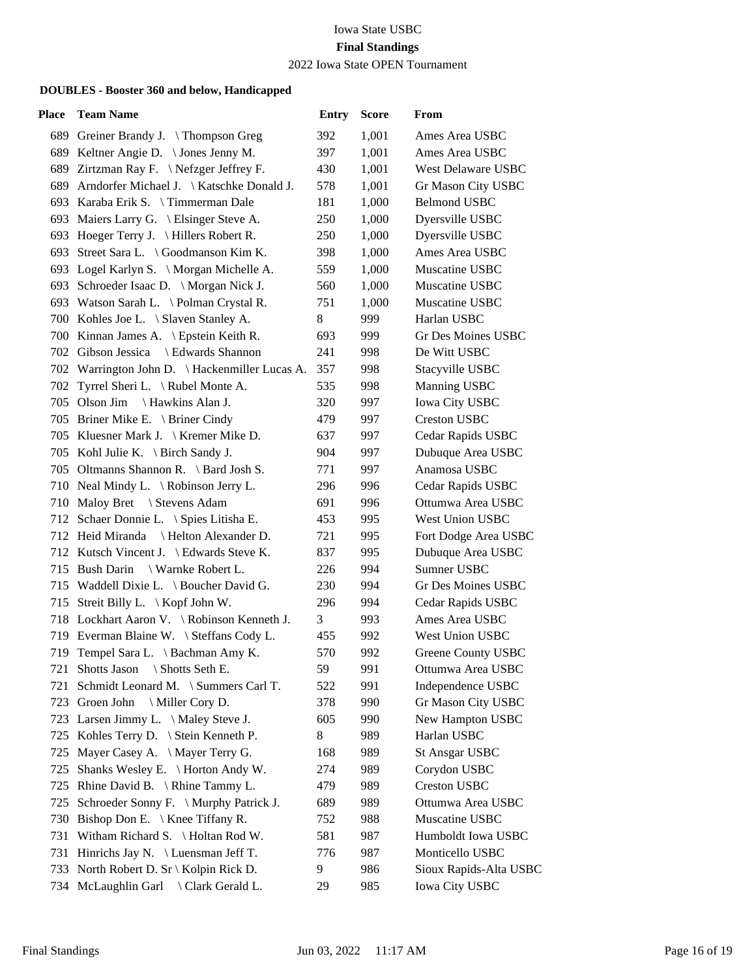2022 Iowa State OPEN Tournament

| Place | <b>Team Name</b>                               | <b>Entry</b> | <b>Score</b> | From                      |
|-------|------------------------------------------------|--------------|--------------|---------------------------|
|       | 689 Greiner Brandy J. \Thompson Greg           | 392          | 1,001        | Ames Area USBC            |
|       | 689 Keltner Angie D. \ Jones Jenny M.          | 397          | 1,001        | Ames Area USBC            |
|       | 689 Zirtzman Ray F. \Nefzger Jeffrey F.        | 430          | 1,001        | <b>West Delaware USBC</b> |
|       | 689 Arndorfer Michael J.   Katschke Donald J.  | 578          | 1,001        | Gr Mason City USBC        |
|       | 693 Karaba Erik S. \Timmerman Dale             | 181          | 1,000        | <b>Belmond USBC</b>       |
|       | 693 Maiers Larry G. \ Elsinger Steve A.        | 250          | 1,000        | Dyersville USBC           |
|       | 693 Hoeger Terry J. \ Hillers Robert R.        | 250          | 1,000        | Dyersville USBC           |
|       | 693 Street Sara L. \ Goodmanson Kim K.         | 398          | 1,000        | Ames Area USBC            |
|       | 693 Logel Karlyn S. \ Morgan Michelle A.       | 559          | 1,000        | Muscatine USBC            |
|       | 693 Schroeder Isaac D. \ Morgan Nick J.        | 560          | 1,000        | Muscatine USBC            |
|       | 693 Watson Sarah L. \ Polman Crystal R.        | 751          | 1,000        | Muscatine USBC            |
|       | 700 Kohles Joe L. \ Slaven Stanley A.          | 8            | 999          | Harlan USBC               |
|       | 700 Kinnan James A. \ Epstein Keith R.         | 693          | 999          | Gr Des Moines USBC        |
|       | 702 Gibson Jessica \ Edwards Shannon           | 241          | 998          | De Witt USBC              |
|       | 702 Warrington John D. \ Hackenmiller Lucas A. | 357          | 998          | Stacyville USBC           |
|       | 702 Tyrrel Sheri L. \ Rubel Monte A.           | 535          | 998          | Manning USBC              |
|       | 705 Olson Jim \ Hawkins Alan J.                | 320          | 997          | <b>Iowa City USBC</b>     |
|       | 705 Briner Mike E. \ Briner Cindy              | 479          | 997          | <b>Creston USBC</b>       |
|       | 705 Kluesner Mark J. \ Kremer Mike D.          | 637          | 997          | Cedar Rapids USBC         |
|       | 705 Kohl Julie K. \ Birch Sandy J.             | 904          | 997          | Dubuque Area USBC         |
|       | 705 Oltmanns Shannon R. \ Bard Josh S.         | 771          | 997          | Anamosa USBC              |
|       | 710 Neal Mindy L. \ Robinson Jerry L.          | 296          | 996          | Cedar Rapids USBC         |
|       | 710 Maloy Bret \ Stevens Adam                  | 691          | 996          | Ottumwa Area USBC         |
|       | 712 Schaer Donnie L. \ Spies Litisha E.        | 453          | 995          | West Union USBC           |
|       | 712 Heid Miranda \ Helton Alexander D.         | 721          | 995          | Fort Dodge Area USBC      |
|       | 712 Kutsch Vincent J. \ Edwards Steve K.       | 837          | 995          | Dubuque Area USBC         |
|       | 715 Bush Darin<br>\ Warnke Robert L.           | 226          | 994          | Sumner USBC               |
|       | 715 Waddell Dixie L. \ Boucher David G.        | 230          | 994          | <b>Gr Des Moines USBC</b> |
|       | 715 Streit Billy L. \ Kopf John W.             | 296          | 994          | Cedar Rapids USBC         |
|       | 718 Lockhart Aaron V. \Robinson Kenneth J.     | 3            | 993          | Ames Area USBC            |
|       | 719 Everman Blaine W. \ Steffans Cody L.       | 455          | 992          | <b>West Union USBC</b>    |
|       | 719 Tempel Sara L. \ Bachman Amy K.            | 570          | 992          | Greene County USBC        |
|       | 721 Shotts Jason<br>\ Shotts Seth E.           | 59           | 991          | Ottumwa Area USBC         |
| 721   | Schmidt Leonard M. \ Summers Carl T.           | 522          | 991          | Independence USBC         |
| 723   | Groen John<br>\ Miller Cory D.                 | 378          | 990          | Gr Mason City USBC        |
|       | 723 Larsen Jimmy L. \ Maley Steve J.           | 605          | 990          | New Hampton USBC          |
|       | 725 Kohles Terry D. \ Stein Kenneth P.         | 8            | 989          | Harlan USBC               |
| 725   | Mayer Casey A. \ Mayer Terry G.                | 168          | 989          | <b>St Ansgar USBC</b>     |
| 725   | Shanks Wesley E. \ Horton Andy W.              | 274          | 989          | Corydon USBC              |
| 725   | Rhine David B. \ Rhine Tammy L.                | 479          | 989          | <b>Creston USBC</b>       |
| 725   | Schroeder Sonny F. \ Murphy Patrick J.         | 689          | 989          | Ottumwa Area USBC         |
| 730   | Bishop Don E. \ Knee Tiffany R.                | 752          | 988          | Muscatine USBC            |
| 731   | Witham Richard S. \ Holtan Rod W.              | 581          | 987          | Humboldt Iowa USBC        |
|       | 731 Hinrichs Jay N. \ Luensman Jeff T.         | 776          | 987          | Monticello USBC           |
|       | 733 North Robert D. Sr \ Kolpin Rick D.        | 9            | 986          | Sioux Rapids-Alta USBC    |
|       | 734 McLaughlin Garl \ Clark Gerald L.          | 29           | 985          | <b>Iowa City USBC</b>     |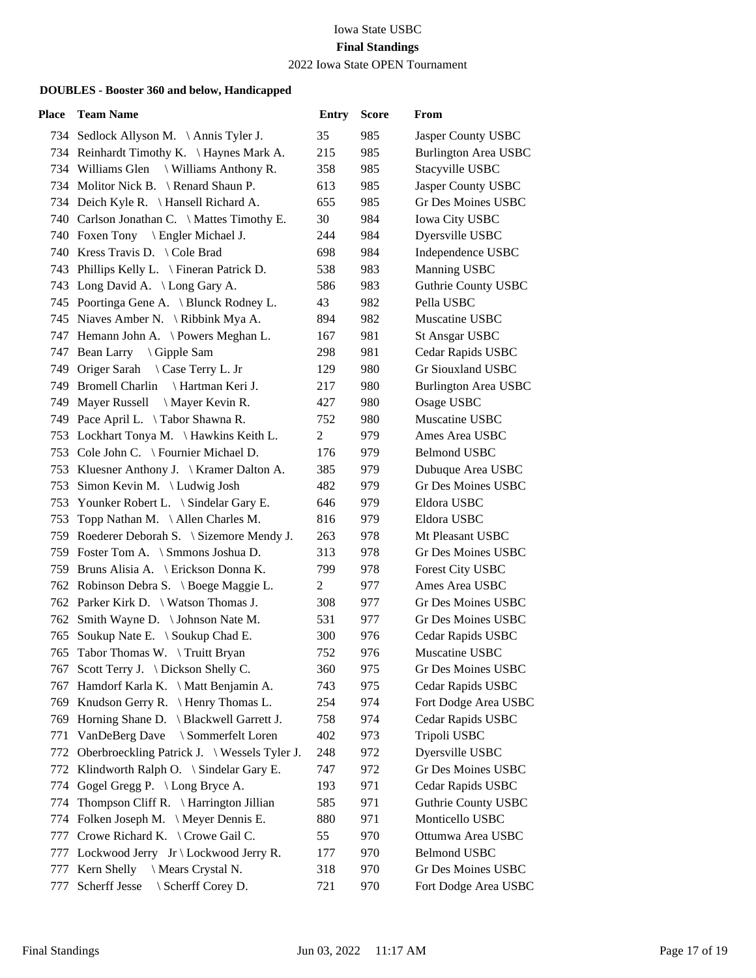2022 Iowa State OPEN Tournament

| Place | <b>Team Name</b>                                 | <b>Entry</b> | <b>Score</b> | From                        |
|-------|--------------------------------------------------|--------------|--------------|-----------------------------|
|       | 734 Sedlock Allyson M. \Annis Tyler J.           | 35           | 985          | Jasper County USBC          |
|       | 734 Reinhardt Timothy K. \ Haynes Mark A.        | 215          | 985          | <b>Burlington Area USBC</b> |
|       | 734 Williams Glen \ Williams Anthony R.          | 358          | 985          | Stacyville USBC             |
|       | 734 Molitor Nick B. \ Renard Shaun P.            | 613          | 985          | Jasper County USBC          |
|       | 734 Deich Kyle R. \ Hansell Richard A.           | 655          | 985          | Gr Des Moines USBC          |
|       | 740 Carlson Jonathan C. \ Mattes Timothy E.      | 30           | 984          | <b>Iowa City USBC</b>       |
|       | 740 Foxen Tony \ Engler Michael J.               | 244          | 984          | Dyersville USBC             |
|       | 740 Kress Travis D. \Cole Brad                   | 698          | 984          | Independence USBC           |
|       | 743 Phillips Kelly L. \ Fineran Patrick D.       | 538          | 983          | Manning USBC                |
|       | 743 Long David A. \ Long Gary A.                 | 586          | 983          | Guthrie County USBC         |
|       | 745 Poortinga Gene A. \ Blunck Rodney L.         | 43           | 982          | Pella USBC                  |
|       | 745 Niaves Amber N. \ Ribbink Mya A.             | 894          | 982          | Muscatine USBC              |
|       | 747 Hemann John A. \Powers Meghan L.             | 167          | 981          | <b>St Ansgar USBC</b>       |
|       | 747 Bean Larry \ Gipple Sam                      | 298          | 981          | Cedar Rapids USBC           |
|       | 749 Origer Sarah \ Case Terry L. Jr              | 129          | 980          | Gr Siouxland USBC           |
|       | 749 Bromell Charlin<br>\ Hartman Keri J.         | 217          | 980          | <b>Burlington Area USBC</b> |
|       | 749 Mayer Russell \ Mayer Kevin R.               | 427          | 980          | Osage USBC                  |
|       | 749 Pace April L. \Tabor Shawna R.               | 752          | 980          | Muscatine USBC              |
|       | 753 Lockhart Tonya M. \Hawkins Keith L.          | 2            | 979          | Ames Area USBC              |
|       | 753 Cole John C. \ Fournier Michael D.           | 176          | 979          | <b>Belmond USBC</b>         |
|       | 753 Kluesner Anthony J. \ Kramer Dalton A.       | 385          | 979          | Dubuque Area USBC           |
|       | 753 Simon Kevin M. \Ludwig Josh                  | 482          | 979          | Gr Des Moines USBC          |
|       | 753 Younker Robert L. \ Sindelar Gary E.         | 646          | 979          | Eldora USBC                 |
|       | 753 Topp Nathan M. \Allen Charles M.             | 816          | 979          | Eldora USBC                 |
|       | 759 Roederer Deborah S. \ Sizemore Mendy J.      | 263          | 978          | Mt Pleasant USBC            |
|       | 759 Foster Tom A. \ Smmons Joshua D.             | 313          | 978          | Gr Des Moines USBC          |
|       | 759 Bruns Alisia A. \ Erickson Donna K.          | 799          | 978          | Forest City USBC            |
|       | 762 Robinson Debra S. \ Boege Maggie L.          | 2            | 977          | Ames Area USBC              |
|       | 762 Parker Kirk D. \ Watson Thomas J.            | 308          | 977          | Gr Des Moines USBC          |
|       | 762 Smith Wayne D. \ Johnson Nate M.             | 531          | 977          | Gr Des Moines USBC          |
|       | 765 Soukup Nate E. \ Soukup Chad E.              | 300          | 976          | Cedar Rapids USBC           |
|       | 765 Tabor Thomas W. \Truitt Bryan                | 752          | 976          | Muscatine USBC              |
|       | 767 Scott Terry J. \ Dickson Shelly C.           | 360          | 975          | Gr Des Moines USBC          |
| 767   | Hamdorf Karla K. \ Matt Benjamin A.              | 743          | 975          | Cedar Rapids USBC           |
| 769   | Knudson Gerry R. $\{ Henry Thomas L.$            | 254          | 974          | Fort Dodge Area USBC        |
|       | 769 Horning Shane D. \ Blackwell Garrett J.      | 758          | 974          | Cedar Rapids USBC           |
| 771   | VanDeBerg Dave<br>\ Sommerfelt Loren             | 402          | 973          | Tripoli USBC                |
| 772   | Oberbroeckling Patrick J. \ Wessels Tyler J.     | 248          | 972          | Dyersville USBC             |
| 772   | Klindworth Ralph O. $\setminus$ Sindelar Gary E. | 747          | 972          | <b>Gr Des Moines USBC</b>   |
|       | 774 Gogel Gregg P. \ Long Bryce A.               | 193          | 971          | Cedar Rapids USBC           |
| 774   | Thompson Cliff R. $\{Harrington\}$ Jillian       | 585          | 971          | <b>Guthrie County USBC</b>  |
| 774   | Folken Joseph M. \ Meyer Dennis E.               | 880          | 971          | Monticello USBC             |
| 777   | Crowe Richard K. \ Crowe Gail C.                 | 55           | 970          | Ottumwa Area USBC           |
|       | 777 Lockwood Jerry Jr \ Lockwood Jerry R.        | 177          | 970          | <b>Belmond USBC</b>         |
| 777   | Kern Shelly<br>\ Mears Crystal N.                | 318          | 970          | Gr Des Moines USBC          |
| 777   | Scherff Jesse<br>\ Scherff Corey D.              | 721          | 970          | Fort Dodge Area USBC        |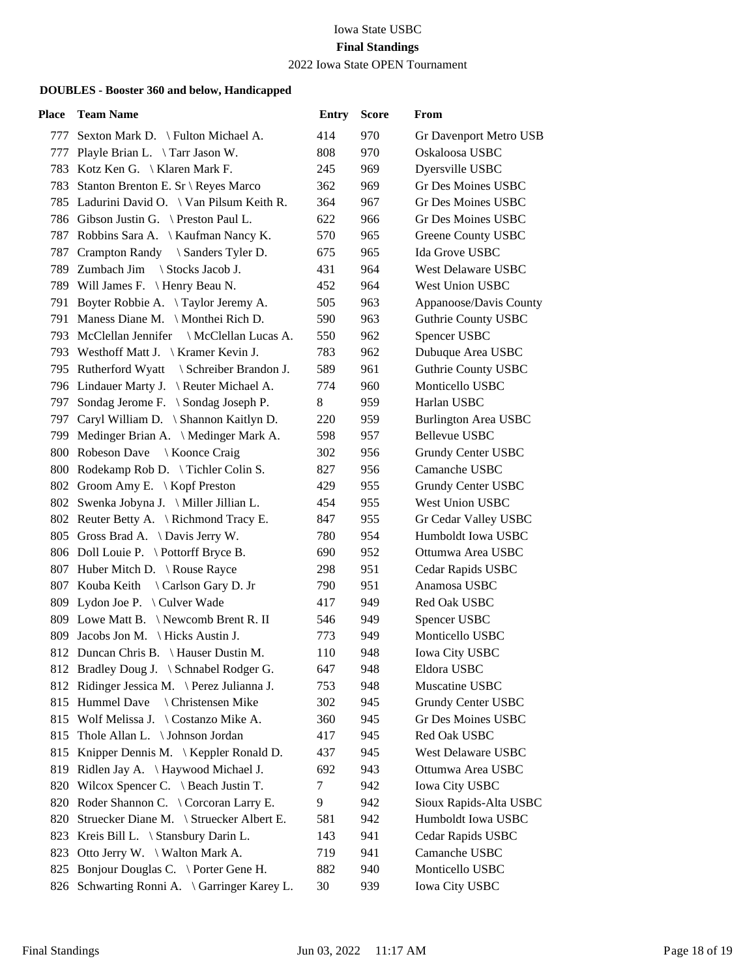2022 Iowa State OPEN Tournament

| Place | <b>Team Name</b>                               | <b>Entry</b> | <b>Score</b> | From                        |
|-------|------------------------------------------------|--------------|--------------|-----------------------------|
|       | 777 Sexton Mark D. \ Fulton Michael A.         | 414          | 970          | Gr Davenport Metro USB      |
| 777   | Playle Brian L. \Tarr Jason W.                 | 808          | 970          | Oskaloosa USBC              |
|       | 783 Kotz Ken G.   Klaren Mark F.               | 245          | 969          | Dyersville USBC             |
|       | 783 Stanton Brenton E. Sr \ Reyes Marco        | 362          | 969          | Gr Des Moines USBC          |
|       | 785 Ladurini David O. \ Van Pilsum Keith R.    | 364          | 967          | Gr Des Moines USBC          |
|       | 786 Gibson Justin G. \ Preston Paul L.         | 622          | 966          | Gr Des Moines USBC          |
|       | 787 Robbins Sara A. \ Kaufman Nancy K.         | 570          | 965          | Greene County USBC          |
|       | 787 Crampton Randy \ Sanders Tyler D.          | 675          | 965          | Ida Grove USBC              |
|       | 789 Zumbach Jim \ Stocks Jacob J.              | 431          | 964          | West Delaware USBC          |
|       | 789 Will James F. \ Henry Beau N.              | 452          | 964          | West Union USBC             |
|       | 791 Boyter Robbie A. \Taylor Jeremy A.         | 505          | 963          | Appanoose/Davis County      |
|       | 791 Maness Diane M. \ Monthei Rich D.          | 590          | 963          | <b>Guthrie County USBC</b>  |
|       | 793 McClellan Jennifer \ McClellan Lucas A.    | 550          | 962          | Spencer USBC                |
|       | 793 Westhoff Matt J. \ Kramer Kevin J.         | 783          | 962          | Dubuque Area USBC           |
|       | 795 Rutherford Wyatt<br>\ Schreiber Brandon J. | 589          | 961          | <b>Guthrie County USBC</b>  |
|       | 796 Lindauer Marty J. \ Reuter Michael A.      | 774          | 960          | Monticello USBC             |
|       | 797 Sondag Jerome F. \ Sondag Joseph P.        | 8            | 959          | Harlan USBC                 |
|       | 797 Caryl William D. \ Shannon Kaitlyn D.      | 220          | 959          | <b>Burlington Area USBC</b> |
|       | 799 Medinger Brian A. \ Medinger Mark A.       | 598          | 957          | <b>Bellevue USBC</b>        |
|       | 800 Robeson Dave \ Koonce Craig                | 302          | 956          | Grundy Center USBC          |
|       | 800 Rodekamp Rob D. \ Tichler Colin S.         | 827          | 956          | Camanche USBC               |
|       | 802 Groom Amy E. \ Kopf Preston                | 429          | 955          | Grundy Center USBC          |
|       | 802 Swenka Jobyna J. \ Miller Jillian L.       | 454          | 955          | <b>West Union USBC</b>      |
|       | 802 Reuter Betty A. \ Richmond Tracy E.        | 847          | 955          | Gr Cedar Valley USBC        |
|       | 805 Gross Brad A. \Davis Jerry W.              | 780          | 954          | Humboldt Iowa USBC          |
|       | 806 Doll Louie P. \Pottorff Bryce B.           | 690          | 952          | Ottumwa Area USBC           |
|       | 807 Huber Mitch D. \ Rouse Rayce               | 298          | 951          | Cedar Rapids USBC           |
|       | 807 Kouba Keith \ Carlson Gary D. Jr           | 790          | 951          | Anamosa USBC                |
|       | 809 Lydon Joe P. \ Culver Wade                 | 417          | 949          | Red Oak USBC                |
|       | 809 Lowe Matt B. \ Newcomb Brent R. II         | 546          | 949          | Spencer USBC                |
|       | 809 Jacobs Jon M. \ Hicks Austin J.            | 773          | 949          | Monticello USBC             |
|       | 812 Duncan Chris B. \ Hauser Dustin M.         | 110          | 948          | <b>Iowa City USBC</b>       |
|       | 812 Bradley Doug J. \ Schnabel Rodger G.       | 647          | 948          | Eldora USBC                 |
|       | 812 Ridinger Jessica M. \Perez Julianna J.     | 753          | 948          | Muscatine USBC              |
|       | 815 Hummel Dave<br>\ Christensen Mike          | 302          | 945          | Grundy Center USBC          |
|       | 815 Wolf Melissa J. \Costanzo Mike A.          | 360          | 945          | Gr Des Moines USBC          |
|       | 815 Thole Allan L. \ Johnson Jordan            | 417          | 945          | Red Oak USBC                |
|       | 815 Knipper Dennis M. \ Keppler Ronald D.      | 437          | 945          | West Delaware USBC          |
| 819   | Ridlen Jay A. \ Haywood Michael J.             | 692          | 943          | Ottumwa Area USBC           |
| 820   | Wilcox Spencer C. $\setminus$ Beach Justin T.  | 7            | 942          | <b>Iowa City USBC</b>       |
|       | 820 Roder Shannon C. \ Corcoran Larry E.       | 9            | 942          | Sioux Rapids-Alta USBC      |
| 820   | Struecker Diane M. \ Struecker Albert E.       | 581          | 942          | Humboldt Iowa USBC          |
| 823   | Kreis Bill L. \ Stansbury Darin L.             | 143          | 941          | Cedar Rapids USBC           |
|       | 823 Otto Jerry W. \ Walton Mark A.             | 719          | 941          | Camanche USBC               |
|       | 825 Bonjour Douglas C. \ Porter Gene H.        | 882          | 940          | Monticello USBC             |
|       | 826 Schwarting Ronni A. \Garringer Karey L.    | 30           | 939          | <b>Iowa City USBC</b>       |